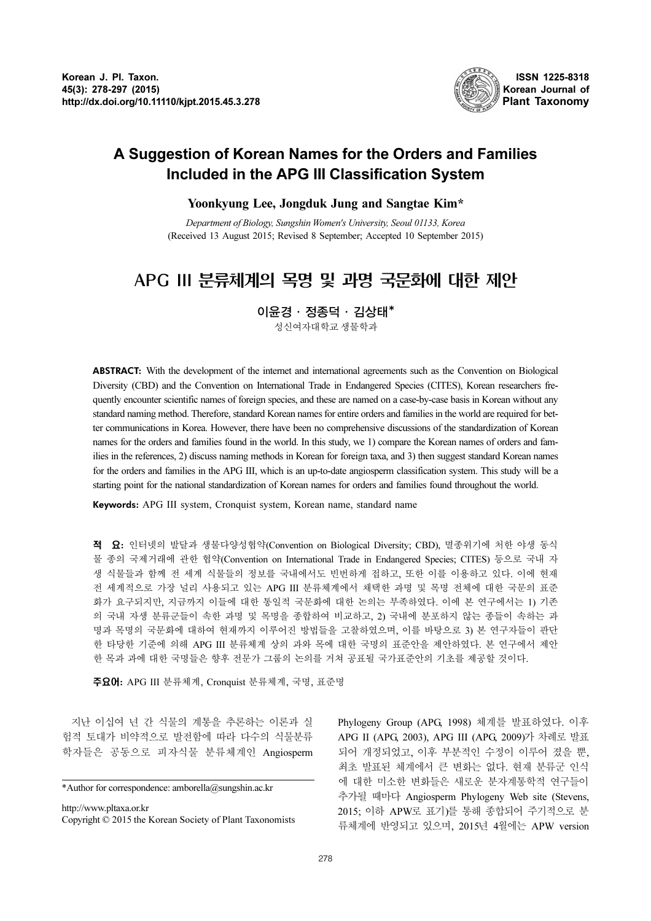

## A Suggestion of Korean Names for the Orders and Families Included in the APG III Classification System

Yoonkyung Lee, Jongduk Jung and Sangtae Kim\*

Department of Biology, Sungshin Women's University, Seoul 01133, Korea (Received 13 August 2015; Revised 8 September; Accepted 10 September 2015)

# APG III 분류체계의 목명 및 과명 국문화에 대한 제안

 $0$ 윤경·정종덕·김상태 $*$ 

성신여자대학교생물학과

ABSTRACT: With the development of the internet and international agreements such as the Convention on Biological Diversity (CBD) and the Convention on International Trade in Endangered Species (CITES), Korean researchers frequently encounter scientific names of foreign species, and these are named on a case-by-case basis in Korean without any standard naming method. Therefore, standard Korean names for entire orders and families in the world are required for better communications in Korea. However, there have been no comprehensive discussions of the standardization of Korean names for the orders and families found in the world. In this study, we 1) compare the Korean names of orders and families in the references, 2) discuss naming methods in Korean for foreign taxa, and 3) then suggest standard Korean names for the orders and families in the APG III, which is an up-to-date angiosperm classification system. This study will be a starting point for the national standardization of Korean names for orders and families found throughout the world.

Keywords: APG III system, Cronquist system, Korean name, standard name

적 요: 인터넷의 발달과 생물다양성협약(Convention on Biological Diversity; CBD), 멸종위기에 처한 야생 동식 물 종의 국제거래에 관한 협약(Convention on International Trade in Endangered Species; CITES) 등으로 국내 자 생 식물들과 함께 전 세계 식물들의 정보를 국내에서도 빈번하게 접하고, 또한 이를 이용하고 있다. 이에 현재 전 세계적으로 가장 널리 사용되고 있는 APG III 분류체계에서 채택한 과명 및 목명 전체에 대한 국문의 표준 화가 요구되지만, 지금까지 이들에 대한 통일적 국문화에 대한 논의는 부족하였다. 이에 본 연구에서는 1) 기존 의 국내 자생 분류군들이 속한 과명 및 목명을 종합하여 비교하고, 2) 국내에 분포하지 않는 종들이 속하는 과 명과 목명의 국문화에 대하여 현재까지 이루어진 방법들을 고찰하였으며, 이를 바탕으로 3) 본 연구자들이 판단 한 타당한 기준에 의해 APG III 분류체계 상의 과와 목에 대한 국명의 표준안을 제안하였다. 본 연구에서 제안 한 목과 과에 대한 국명들은 향후 전문가 그룹의 논의를 거쳐 공표될 국가표준안의 기초를 제공할 것이다.

주요어: APG III 분류체계, Cronquist 분류체계, 국명, 표준명

지난 이십여 년 간 식물의 계통을 추론하는 이론과 실 험적 토대가 비약적으로 발전함에 따라 다수의 식물분류 학자들은 공동으로 피자식물 분류체계인 Angiosperm

\*Author for correspondence: amborella@sungshin.ac.kr

http://www.pltaxa.or.kr Copyright © 2015 the Korean Society of Plant Taxonomists Phylogeny Group (APG, 1998) 체계를 발표하였다. 이후 APG II (APG, 2003), APG III (APG, 2009)가 차례로 발표 되어 개정되었고, 이후 부분적인 수정이 이루어 졌을 뿐, 최초 발표된 체계에서 큰 변화는 없다. 현재 분류군 인식 에 대한 미소한 변화들은 새로운 분자계통학적 연구들이 추가될 때마다 Angiosperm Phylogeny Web site (Stevens, 2015; 이하 APW로 표기)를 통해 종합되어 주기적으로 분 류체계에 반영되고 있으며, 2015년 4월에는 APW version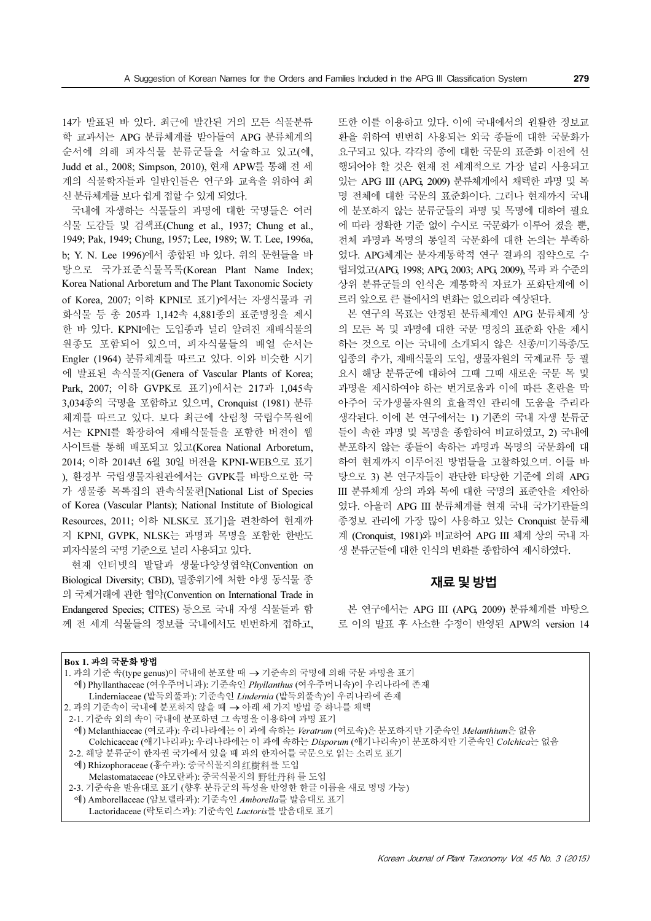14가 발표된 바 있다. 최근에 발간된 거의 모든 식물분류 학 교과서는 APG 분류체계를 받아들여 APG 분류체계의 순서에 의해 피자식물 분류군들을 서술하고 있고(예, Judd et al., 2008; Simpson, 2010), 현재 APW를 통해 전 세 계의 식물학자들과 일반인들은 연구와 교육을 위하여 최 신 분류체계를 보다 쉽게 접할 수 있게 되었다.

국내에 자생하는 식물들의 과명에 대한 국명들은 여러 식물 도감들 및 검색표(Chung et al., 1937; Chung et al., 1949; Pak, 1949; Chung, 1957; Lee, 1989; W. T. Lee, 1996a, b; Y. N. Lee 1996)에서 종합된 바 있다. 위의 문헌들을 바 탕으로 국가표준식물목록(Korean Plant Name Index; Korea National Arboretum and The Plant Taxonomic Society of Korea, 2007; 이하 KPNI로 표기)에서는 자생식물과 귀 화식물 등 총 205과 1,142속 4,881종의 표준명칭을 제시 한 바 있다. KPNI에는 도입종과 널리 알려진 재배식물의 원종도 포함되어 있으며, 피자식물들의 배열 순서는 Engler (1964) 분류체계를 따르고 있다. 이와 비슷한 시기 에 발표된 속식물지(Genera of Vascular Plants of Korea; Park, 2007; 이하 GVPK로 표기)에서는 217과 1,045속 3,034종의 국명을 포함하고 있으며, Cronquist (1981) 분류 체계를 따르고 있다. 보다 최근에 산림청 국립수목원에 서는 KPNI를 확장하여 재배식물들을 포함한 버전이 웹 사이트를 통해 배포되고 있고(Korea National Arboretum, 2014; 이하 2014년 6월 30일 버전을 KPNI-WEB으로 표기 ), 환경부 국립생물자원관에서는 GVPK를 바탕으로한 국 가 생물종 목록집의 관속식물편[National List of Species of Korea (Vascular Plants); National Institute of Biological Resources, 2011; 이하 NLSK로 표기]을 편찬하여 현재까 지 KPNI, GVPK, NLSK는 과명과 목명을 포함한 한반도 피자식물의 국명 기준으로 널리사용되고 있다.

현재 인터넷의 발달과 생물다양성협약(Convention on Biological Diversity; CBD), 멸종위기에 처한 야생 동식물 종 의 국제거래에 관한 협약(Convention on International Trade in Endangered Species; CITES) 등으로 국내 자생 식물들과 함 께 전 세계 식물들의 정보를 국내에서도 빈번하게 접하고, 또한 이를 이용하고 있다. 이에 국내에서의 원활한 정보교 환을 위하여 빈번히 사용되는 외국 종들에 대한 국문화가 요구되고 있다. 각각의 종에 대한 국문의 표준화 이전에 선 행되어야 할 것은 현재 전 세계적으로 가장 널리 사용되고 있는 APG III (APG, 2009) 분류체계에서 채택한 과명 및 목 명 전체에 대한 국문의 표준화이다. 그러나 현재까지 국내 에 분포하지 않는 분류군들의 과명 및 목명에 대하여 필요 에 따라 정확한 기준 없이 수시로 국문화가 이루어 졌을 뿐, 전체 과명과 목명의 통일적 국문화에 대한 논의는 부족하 였다. APG체계는 분자계통학적 연구 결과의 집약으로 수 립되었고(APG, 1998; APG, 2003; APG, 2009), 목과 과 수준의 상위 분류군들의 인식은 계통학적 자료가 포화단계에 이 르러 앞으로 큰 틀에서의 변화는 없으리라 예상된다.

본 연구의 목표는 안정된 분류체계인 APG 분류체계 상 의 모든 목 및 과명에 대한 국문 명칭의 표준화 안을 제시 하는 것으로 이는 국내에 소개되지 않은 신종/미기록종/도 입종의 추가, 재배식물의 도입, 생물자원의 국제교류 등 필 요시 해당 분류군에 대하여 그때 그때 새로운 국문 목 및 과명을 제시하여야 하는 번거로움과 이에 따른 혼란을 막 아주어 국가생물자원의 효율적인 관리에 도움을 주리라 생각된다. 이에 본 연구에서는 1) 기존의 국내 자생 분류군 들이 속한 과명 및 목명을 종합하여 비교하였고, 2) 국내에 분포하지 않는 종들이 속하는 과명과 목명의 국문화에 대 하여 현재까지 이루어진 방법들을 고찰하였으며. 이를 바 탕으로 3) 본 연구자들이 판단한 타당한 기준에 의해 APG III 분류체계 상의 과와 목에 대한 국명의 표준안을 제안하 였다. 아울러 APG III 분류체계를 현재 국내 국가기관들의 종정보 관리에 가장 많이 사용하고 있는 Cronquist 분류체 계 (Cronquist, 1981)와 비교하여 APG III 체계 상의 국내 자 생 분류군들에 대한 인식의 변화를 종합하여 제시하였다.

#### 재료및방법

본 연구에서는 APG III (APG, 2009) 분류체계를 바탕으 로 이의 발표 후 사소한 수정이 반영된 APW의 version 14

#### $\vert_{\rm Box\,1}\,$ 과의 국무하 방법

| <sup>1</sup> 1. 과의 기준 속(type genus)이 국내에 분포할 때 → 기준속의 국명에 의해 국문 과명을 표기            |
|-----------------------------------------------------------------------------------|
| 예) Phyllanthaceae (여우주머니과): 기준속인 Phyllanthus (여우주머니속)이 우리나라에 존재                   |
| Linderniaceae (밭둑외풀과): 기준속인 Lindernia (밭둑외풀속)이 우리나라에 존재                           |
| 2. 과의 기준속이 국내에 분포하지 않을 때 → 아래 세 가지 방법 중 하나를 채택                                    |
| 2-1. 기준속 외의 속이 국내에 분포하면 그 속명을 이용하여 과명 표기                                          |
| 예) Melanthiaceae (여로과): 우리나라에는 이 과에 속하는 Veratrum (여로속)은 분포하지만 기준속인 Melanthium은 없음 |
| Colchicaceae (애기나리과): 우리나라에는 이 과에 속하는 Disporum (애기나리속)이 분포하지만 기준속인 Colchica는 없음   |
| 2-2. 해당 분류구이 한자권 국가에서 있을 때 과의 한자어를 국문으로 읽는 소리로 표기                                 |
| 예) Rhizophoraceae (홍수과): 중국식물지의 红樹科를 도입                                           |
| Melastomataceae (야모란과): 중국식물지의 野牡丹科 를 도입                                          |
| 2-3. 기준속을 발음대로 표기 (향후 분류군의 특성을 반영한 한글 이름을 새로 명명 가능)                               |
| 예) Amborellaceae (암보렐라과): 기준속인 Amborella를 발음대로 표기                                 |
| Lactoridaceae (락토리스과): 기준속인 <i>Lactoris</i> 를 발음대로 표기                             |
|                                                                                   |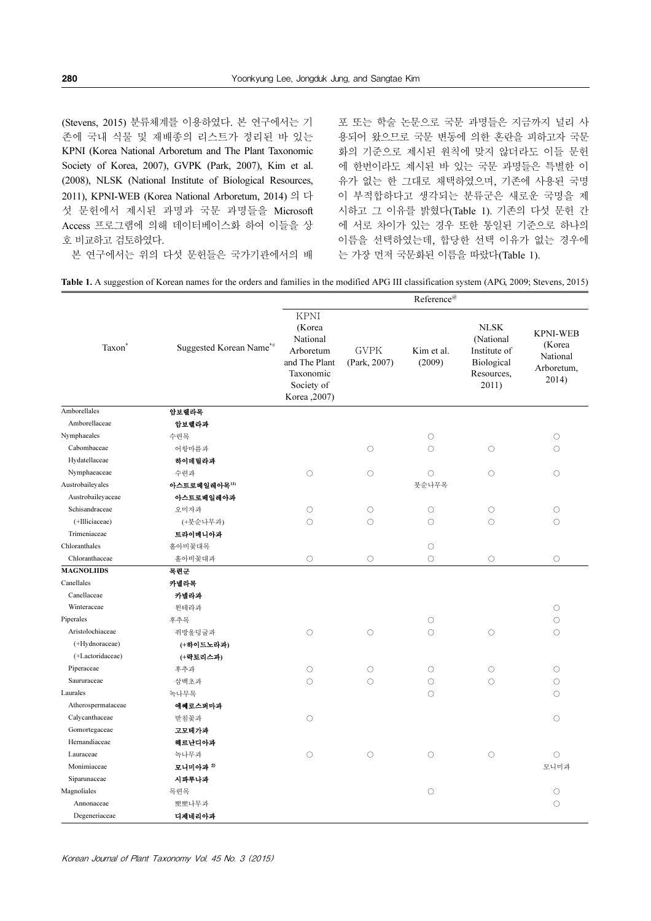(Stevens, 2015) 분류체계를 이용하였다. 본 연구에서는 기 존에 국내 식물 및 재배종의 리스트가 정리된 바 있는 KPNI (Korea National Arboretum and The Plant Taxonomic Society of Korea, 2007), GVPK (Park, 2007), Kim et al. (2008), NLSK (National Institute of Biological Resources, 2011), KPNI-WEB (Korea National Arboretum, 2014) 의 다 섯 문헌에서 제시된 과명과 국문 과명들을 Microsoft Access 프로그램에 의해 데이터베이스화 하여 이들을 상 호 비교하고 검토하였다.

본 연구에서는 위의 다섯 문헌들은 국가기관에서의 배

포 또는 학술 논문으로 국문 과명들은 지금까지 널리 사 용되어 왔으므로 국문 변동에 의한 혼란을 피하고자 국문 화의 기준으로 제시된 원칙에 맞지 않더라도 이들 문헌 에 한번이라도 제시된 바 있는 국문 과명들은 특별한 이 유가 없는 한 그대로 채택하였으며, 기존에 사용된 국명 이 부적합하다고 생각되는 분류군은 새로운 국명을 제 시하고 그 이유를 밝혔다(Table 1). 기존의 다섯 문헌 간 에 서로 차이가 있는 경우 또한 통일된 기준으로 하나의 이름을 선택하였는데, 합당한 선택 이유가 없는 경우에 는 가장 먼저 국문화된 이름을 따랐다(Table 1).

Table 1. A suggestion of Korean names for the orders and families in the modified APG III classification system (APG, 2009; Stevens, 2015)

|                    |                         | Reference@                                                                                                  |                             |                      |                                                                               |                                                              |  |
|--------------------|-------------------------|-------------------------------------------------------------------------------------------------------------|-----------------------------|----------------------|-------------------------------------------------------------------------------|--------------------------------------------------------------|--|
| Taxon <sup>*</sup> | Suggested Korean Name*# | <b>KPNI</b><br>(Korea<br>National<br>Arboretum<br>and The Plant<br>Taxonomic<br>Society of<br>Korea , 2007) | <b>GVPK</b><br>(Park, 2007) | Kim et al.<br>(2009) | <b>NLSK</b><br>(National<br>Institute of<br>Biological<br>Resources,<br>2011) | <b>KPNI-WEB</b><br>(Korea<br>National<br>Arboretum,<br>2014) |  |
| Amborellales       | 암보렐라목                   |                                                                                                             |                             |                      |                                                                               |                                                              |  |
| Amborellaceae      | 암보렐라과                   |                                                                                                             |                             |                      |                                                                               |                                                              |  |
| Nymphaeales        | 수련목                     |                                                                                                             |                             | $\circ$              |                                                                               | $\circ$                                                      |  |
| Cabombaceae        | 어항마름과                   |                                                                                                             | $\circ$                     | $\circ$              | $\circ$                                                                       | $\circ$                                                      |  |
| Hydatellaceae      | 하이데틸라과                  |                                                                                                             |                             |                      |                                                                               |                                                              |  |
| Nymphaeaceae       | 수련과                     | $\circ$                                                                                                     | $\circ$                     | $\circ$              | $\circ$                                                                       | $\circ$                                                      |  |
| Austrobaileyales   | 아스트로베일레아목13)            |                                                                                                             |                             | 붓순나무목                |                                                                               |                                                              |  |
| Austrobaileyaceae  | 아스트로베일레아과               |                                                                                                             |                             |                      |                                                                               |                                                              |  |
| Schisandraceae     | 오미자과                    | $\circ$                                                                                                     | $\circ$                     | $\circ$              | $\bigcirc$                                                                    | $\circlearrowright$                                          |  |
| (+Illiciaceae)     | (+붓순나무과)                | $\circ$                                                                                                     | $\circ$                     | $\circ$              | $\circ$                                                                       | $\circ$                                                      |  |
| Trimeniaceae       | 트라이메니아과                 |                                                                                                             |                             |                      |                                                                               |                                                              |  |
| Chloranthales      | 홀아비꽃대목                  |                                                                                                             |                             | $\circ$              |                                                                               |                                                              |  |
| Chloranthaceae     | 홀아비꽃대과                  | $\circ$                                                                                                     | $\circ$                     | $\circ$              | $\circ$                                                                       | $\circ$                                                      |  |
| <b>MAGNOLIIDS</b>  | 목련군                     |                                                                                                             |                             |                      |                                                                               |                                                              |  |
| Canellales         | 카넬라목                    |                                                                                                             |                             |                      |                                                                               |                                                              |  |
| Canellaceae        | 카넬라과                    |                                                                                                             |                             |                      |                                                                               |                                                              |  |
| Winteraceae        | 윈테라과                    |                                                                                                             |                             |                      |                                                                               | $\circ$                                                      |  |
| Piperales          | 후추목                     |                                                                                                             |                             | $\circ$              |                                                                               | $\circ$                                                      |  |
| Aristolochiaceae   | 쥐방울덩굴과                  | $\circ$                                                                                                     | $\circ$                     | $\circ$              | $\circ$                                                                       | $\circ$                                                      |  |
| (+Hydnoraceae)     | (+하이드노라과)               |                                                                                                             |                             |                      |                                                                               |                                                              |  |
| (+Lactoridaceae)   | (+락토리스과)                |                                                                                                             |                             |                      |                                                                               |                                                              |  |
| Piperaceae         | 후추과                     | $\circ$                                                                                                     | $\circ$                     | $\circ$              | $\circ$                                                                       | $\circ$                                                      |  |
| Saururaceae        | 삼백초과                    | $\circ$                                                                                                     | $\circ$                     | $\circ$              | $\circ$                                                                       | $\circ$                                                      |  |
| Laurales           | 녹나무목                    |                                                                                                             |                             | $\circ$              |                                                                               | $\circ$                                                      |  |
| Atherospermataceae | 에쎄로스퍼마과                 |                                                                                                             |                             |                      |                                                                               |                                                              |  |
| Calycanthaceae     | 받침꽃과                    | $\circ$                                                                                                     |                             |                      |                                                                               | $\circ$                                                      |  |
| Gomortegaceae      | 고모테가과                   |                                                                                                             |                             |                      |                                                                               |                                                              |  |
| Hernandiaceae      | 헤르난디아과                  |                                                                                                             |                             |                      |                                                                               |                                                              |  |
| Lauraceae          | 녹나무과                    | $\circ$                                                                                                     | $\circ$                     | $\circ$              | $\circ$                                                                       | $\circ$                                                      |  |
| Monimiaceae        | 모니미아과 2                 |                                                                                                             |                             |                      |                                                                               | 모니미과                                                         |  |
| Siparunaceae       | 시파루나과                   |                                                                                                             |                             |                      |                                                                               |                                                              |  |
| Magnoliales        | 목련목                     |                                                                                                             |                             | $\circ$              |                                                                               | $\circ$                                                      |  |
| Annonaceae         | 뽀뽀나무과                   |                                                                                                             |                             |                      |                                                                               | $\circ$                                                      |  |
| Degeneriaceae      | 디제네리아과                  |                                                                                                             |                             |                      |                                                                               |                                                              |  |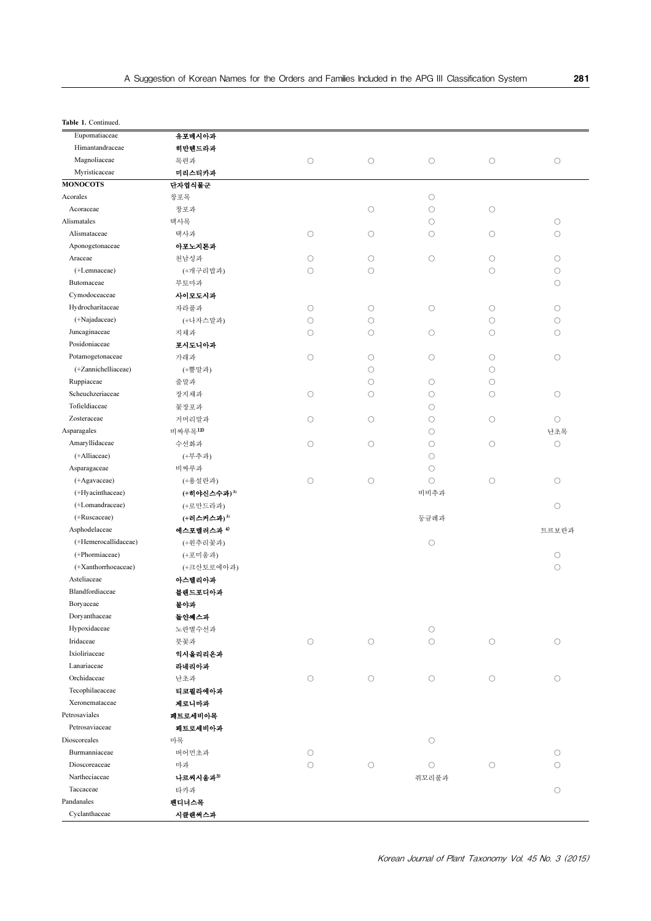|  |  | Table 1. Continued. |
|--|--|---------------------|
|  |  |                     |

| Table 1. Continued.  |                     |            |                     |            |            |            |
|----------------------|---------------------|------------|---------------------|------------|------------|------------|
| Eupomatiaceae        | 유포메시아과              |            |                     |            |            |            |
| Himantandraceae      | 히만텐드라과              |            |                     |            |            |            |
| Magnoliaceae         | 목련과                 | $\bigcirc$ | $\circ$             | $\bigcirc$ | $\circ$    | $\circ$    |
| Myristicaceae        | 미리스티카과              |            |                     |            |            |            |
| <b>MONOCOTS</b>      | 단자엽식물군              |            |                     |            |            |            |
| Acorales             | 창포목                 |            |                     | $\bigcirc$ |            |            |
| Acoraceae            | 창포과                 |            | $\circ$             | $\bigcirc$ | $\circ$    |            |
| Alismatales          | 택사목                 |            |                     | $\circ$    |            | $\bigcirc$ |
| Alismataceae         | 택사과                 | $\bigcirc$ | $\circ$             | $\circ$    | $\circ$    | $\circ$    |
| Aponogetonaceae      | 아포노지톤과              |            |                     |            |            |            |
| Araceae              | 천남성과                | $\circ$    | $\circ$             | $\circ$    | $\circ$    | $\circ$    |
| (+Lemnaceae)         | (+개구리밥과)            | $\bigcirc$ | $\bigcirc$          |            | $\circ$    | $\circ$    |
| Butomaceae           | 부토마과                |            |                     |            |            | $\circ$    |
| Cymodoceaceae        | 사이모도시과              |            |                     |            |            |            |
| Hydrocharitaceae     | 자라풀과                | $\bigcirc$ | $\circ$             | $\bigcirc$ | $\circ$    | $\circ$    |
| (+Najadaceae)        | (+나자스말과)            | О          | $\bigcirc$          |            | $\circ$    | $\circ$    |
| Juncaginaceae        | 지채과                 | $\bigcirc$ | $\circ$             | $\circ$    | $\circ$    | $\circ$    |
| Posidoniaceae        | 포시도니아과              |            |                     |            |            |            |
| Potamogetonaceae     | 가래과                 | $\circ$    | $\circ$             | $\bigcirc$ | $\circ$    |            |
| (+Zannichelliaceae)  |                     |            |                     |            |            | $\circ$    |
|                      | (+뿔말과)              |            | $\circ$             |            | $\circ$    |            |
| Ruppiaceae           | 줄말과                 |            | $\bigcirc$          | $\bigcirc$ | $\circ$    |            |
| Scheuchzeriaceae     | 장지채과                | $\circ$    | $\bigcirc$          | $\circ$    | $\circ$    | $\circ$    |
| Tofieldiaceae        | 꽃장포과                |            |                     | $\circ$    |            |            |
| Zosteraceae          | 거머리말과               | $\circ$    | $\circlearrowright$ | $\circ$    | $\circ$    | $\circ$    |
| Asparagales          | 비짜루목 <sup>12)</sup> |            |                     | $\circ$    |            | 난초목        |
| Amaryllidaceae       | 수선화과                | $\bigcirc$ | $\circ$             | $\circ$    | $\circ$    | $\circ$    |
| (+Alliaceae)         | (+부추과)              |            |                     | $\circ$    |            |            |
| Asparagaceae         | 비짜루과                |            |                     | $\circ$    |            |            |
| (+Agavaceae)         | (+용설란과)             | $\circ$    | $\circ$             | $\circ$    | $\circ$    | $\circ$    |
| (+Hyacinthaceae)     | (+하야신스수과)3)         |            |                     | 비비추과       |            |            |
| (+Lomandraceae)      | (+로만드라과)            |            |                     |            |            | О          |
| (+Ruscaceae)         | $(+$ 러스커스과 $)^3$    |            |                     | 둥글레과       |            |            |
| Asphodelaceae        | 에스포델러스과 4)          |            |                     |            |            | 트르보란과      |
| (+Hemerocallidaceae) | (+원추리꽃과)            |            |                     | $\circ$    |            |            |
| (+Phormiaceae)       | (+포미움과)             |            |                     |            |            | $\circ$    |
| (+Xanthorrhoeaceae)  | (+크산토로에아과)          |            |                     |            |            | $\circ$    |
| Asteliaceae          | 아스텔리아과              |            |                     |            |            |            |
| Blandfordiaceae      | 블랜드포디아과             |            |                     |            |            |            |
| Boryaceae            | 불야과                 |            |                     |            |            |            |
| Doryanthaceae        | 돌안쌔스과               |            |                     |            |            |            |
| Hypoxidaceae         | 노란별수선과              |            |                     | $\bigcirc$ |            |            |
| Iridaceae            | 붓꽃과                 | $\bigcirc$ | $\bigcirc$          | $\bigcirc$ | $\bigcirc$ | $\bigcirc$ |
| Ixioliriaceae        | 익시올리리온과             |            |                     |            |            |            |
| Lanariaceae          | 라네리아과               |            |                     |            |            |            |
| Orchidaceae          | 난초과                 | $\bigcirc$ | $\bigcirc$          | $\bigcirc$ | $\circ$    | $\circ$    |
| Tecophilaeaceae      | 티코필라에아과             |            |                     |            |            |            |
| Xeronemataceae       | 제로니마과               |            |                     |            |            |            |
| Petrosaviales        | 페트로세비아목             |            |                     |            |            |            |
| Petrosaviaceae       | 페트로세비아과             |            |                     |            |            |            |
| Dioscoreales         | 마목                  |            |                     | $\bigcirc$ |            |            |
| Burmanniaceae        | 버어먼초과               | $\bigcirc$ |                     |            |            | $\circ$    |
| Dioscoreaceae        | 마과                  | $\bigcirc$ | $\bigcirc$          | $\bigcirc$ | $\circ$    | $\circ$    |
| Nartheciaceae        | 나르씨시움과3)            |            |                     | 쥐꼬리풀과      |            |            |
| Taccaceae            | 타카과                 |            |                     |            |            | $\circ$    |
| Pandanales           | 팬디너스목               |            |                     |            |            |            |
| Cyclanthaceae        | 시클랜써스과              |            |                     |            |            |            |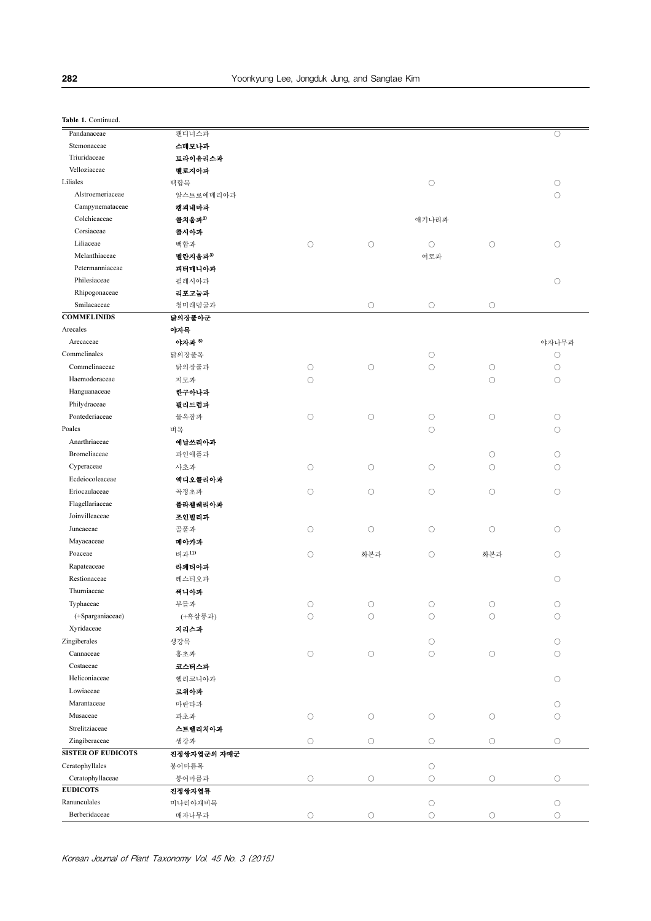Table 1. Continued.

| Pandanaceae               | 팬디너스과               |            |                     |            |            | О                   |
|---------------------------|---------------------|------------|---------------------|------------|------------|---------------------|
| Stemonaceae               | 스테모나과               |            |                     |            |            |                     |
| Triuridaceae              | 트라이유리스과             |            |                     |            |            |                     |
| Velloziaceae              | 벨로지아과               |            |                     |            |            |                     |
| Liliales                  | 백합목                 |            |                     | $\circ$    |            | $\circ$             |
| Alstroemeriaceae          | 알스트로에메리아과           |            |                     |            |            | $\circ$             |
| Campynemataceae           | 캠피네마과               |            |                     |            |            |                     |
| Colchicaceae              | 콜치움과 <sup>3)</sup>  |            |                     | 애기나리과      |            |                     |
| Corsiaceae                | 콜시아과                |            |                     |            |            |                     |
| Liliaceae                 | 백합과                 | $\circ$    | $\bigcirc$          | $\bigcirc$ | $\circ$    | $\circ$             |
| Melanthiaceae             | 멜란지움과 <sup>3)</sup> |            |                     | 여로과        |            |                     |
| Petermanniaceae           | 피터매니아과              |            |                     |            |            |                     |
| Philesiaceae              | 필레시아과               |            |                     |            |            | $\circ$             |
| Rhipogonaceae             | 리포고눔과               |            |                     |            |            |                     |
| Smilacaceae               | 청미래덩굴과              |            | $\bigcirc$          | $\bigcirc$ | $\circ$    |                     |
| <b>COMMELINIDS</b>        | <b>닭의장풀아군</b>       |            |                     |            |            |                     |
| Arecales                  | 야자목                 |            |                     |            |            |                     |
| Arecaceae                 | 야자과 5)              |            |                     |            |            | 야자나무과               |
| Commelinales              | 닭의장풀목               |            |                     | $\bigcirc$ |            | О                   |
| Commelinaceae             | 닭의장풀과               | О          | $\bigcirc$          | $\bigcirc$ | $\circ$    | $\circ$             |
| Haemodoraceae             | 지모과                 | $\circ$    |                     |            | $\circ$    | $\circ$             |
| Hanguanaceae              | 한구아나과               |            |                     |            |            |                     |
| Philydraceae              | 필리드럼과               |            |                     |            |            |                     |
| Pontederiaceae            | 물옥잠과                | $\bigcirc$ | $\bigcirc$          | $\bigcirc$ | $\circ$    | $\circlearrowright$ |
| Poales                    | 벼목                  |            |                     | $\circ$    |            | $\circ$             |
| Anarthriaceae             | 에날쓰리아과              |            |                     |            |            |                     |
| Bromeliaceae              | 파인애플과               |            |                     |            | $\circ$    | $\circ$             |
| Cyperaceae                | 사초과                 | $\bigcirc$ | $\bigcirc$          | $\circ$    | $\circ$    | О                   |
| Ecdeiocoleaceae           | 엑디오콜리아과             |            |                     |            |            |                     |
| Eriocaulaceae             | 곡정초과                | $\bigcirc$ | $\bigcirc$          | $\circ$    | $\circ$    | О                   |
| Flagellariaceae           | 플라젤레리아과             |            |                     |            |            |                     |
| Joinvilleaceae            | 조인빌리과               |            |                     |            |            |                     |
| Juncaceae                 | 골풀과                 | $\bigcirc$ | $\bigcirc$          | $\bigcirc$ | $\circ$    | $\circ$             |
| Mayacaceae                | 메야카과                |            |                     |            |            |                     |
| Poaceae                   | 벼과11)               | $\bigcirc$ | 화본과                 | $\bigcirc$ | 화본과        | О                   |
| Rapateaceae               | 라페티아과               |            |                     |            |            |                     |
| Restionaceae              | 레스티오과               |            |                     |            |            | О                   |
| Thurniaceae               | 써니아과                |            |                     |            |            |                     |
| Typhaceae                 | 부들과                 | $\circ$    | $\circlearrowright$ | $\circ$    | $\circ$    | $\circ$             |
| (+Sparganiaceae)          | (+흑삼릉과)             | $\bigcirc$ | $\bigcirc$          | $\bigcirc$ | $\bigcirc$ | $\circ$             |
| Xyridaceae                | 지리스과                |            |                     |            |            |                     |
| Zingiberales              | 생강목                 |            |                     | $\bigcirc$ |            | $\bigcirc$          |
| Cannaceae                 | 홍초과                 | $\bigcirc$ | $\bigcirc$          | $\bigcirc$ | $\bigcirc$ | $\bigcirc$          |
| Costaceae                 | 코스터스과               |            |                     |            |            |                     |
| Heliconiaceae             | 헬리코니아과              |            |                     |            |            | $\bigcirc$          |
| Lowiaceae                 | 로위아과                |            |                     |            |            |                     |
| Marantaceae               | 마란타과                |            |                     |            |            | $\circlearrowright$ |
| Musaceae                  | 파초과                 | $\bigcirc$ | $\bigcirc$          | $\bigcirc$ | $\bigcirc$ | $\bigcirc$          |
| Strelitziaceae            | 스트렐리치아과             |            |                     |            |            |                     |
| Zingiberaceae             | 생강과                 | $\bigcirc$ | $\bigcirc$          | $\bigcirc$ | $\bigcirc$ | $\bigcirc$          |
| <b>SISTER OF EUDICOTS</b> | 진정쌍자엽군의 자매군         |            |                     |            |            |                     |
| Ceratophyllales           | 붕어마름목               |            |                     | $\bigcirc$ |            |                     |
| Ceratophyllaceae          | 붕어마름과               | $\bigcirc$ | $\bigcirc$          | $\bigcirc$ | $\bigcirc$ | $\bigcirc$          |
| <b>EUDICOTS</b>           | 진정쌍자엽류              |            |                     |            |            |                     |
| Ranunculales              | 미나리아재비목             |            |                     | $\bigcirc$ |            | $\bigcirc$          |
| Berberidaceae             | 매자나무과               | $\bigcirc$ | $\bigcirc$          | $\bigcirc$ | $\bigcirc$ | $\bigcirc$          |
|                           |                     |            |                     |            |            |                     |

Korean Journal of Plant Taxonomy Vol. 45 No. 3 (2015)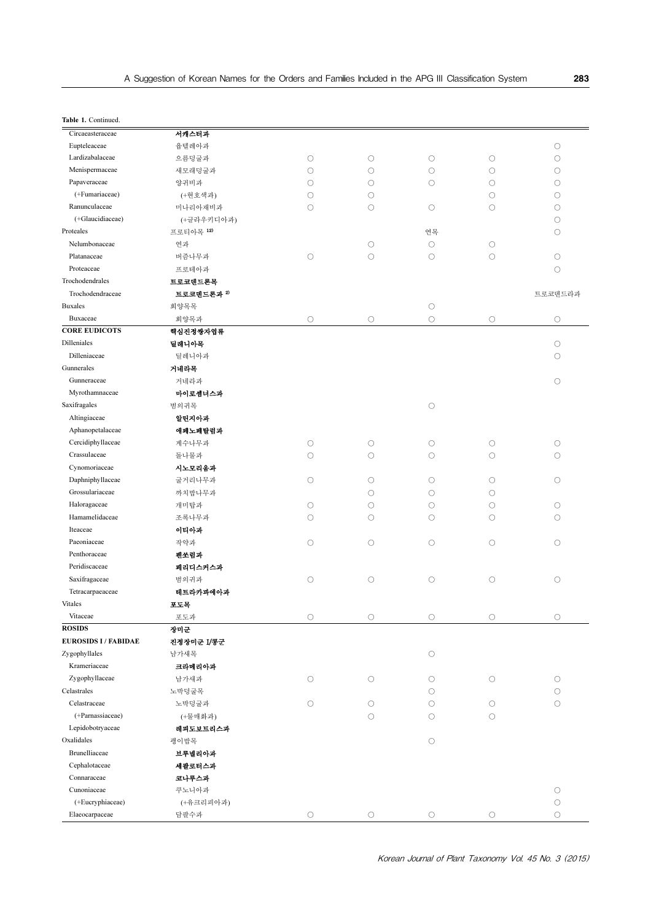| Table 1. Continued.         |                       |         |                     |                     |                     |            |
|-----------------------------|-----------------------|---------|---------------------|---------------------|---------------------|------------|
| Circaeasteraceae            | 서케스터과                 |         |                     |                     |                     |            |
| Eupteleaceae                | 윱텔레아과                 |         |                     |                     |                     | $\circ$    |
| Lardizabalaceae             | 으름덩굴과                 | $\circ$ | $\bigcirc$          | $\circ$             | $\circ$             | $\bigcirc$ |
| Menispermaceae              | 새모래덩굴과                | О       | $\circ$             | О                   | $\circlearrowright$ | О          |
| Papaveraceae                | 양귀비과                  | О       | О                   | O                   | $\circ$             | О          |
| (+Fumariaceae)              | (+현호색과)               | О       | $\circ$             |                     | $\circlearrowright$ | О          |
| Ranunculaceae               | 미나리아재비과               | О       | $\circ$             | $\circ$             | $\circ$             | $\bigcirc$ |
| (+Glaucidiaceae)            | (+글라우키디아과)            |         |                     |                     |                     | $\circ$    |
| Proteales                   | 프로티아목 12)             |         |                     | 연목                  |                     | $\circ$    |
| Nelumbonaceae               | 연과                    |         | $\circ$             | $\circ$             | $\circlearrowright$ |            |
| Platanaceae                 | 버즘나무과                 | $\circ$ | $\circ$             | $\circ$             | $\circ$             | $\circ$    |
| Proteaceae                  | 프로테아과                 |         |                     |                     |                     | $\circ$    |
| Trochodendrales             | 트로코덴드론목               |         |                     |                     |                     |            |
| Trochodendraceae            | 트로코덴드론과 <sup>2)</sup> |         |                     |                     |                     | 트로코덴드라과    |
| <b>Buxales</b>              | 회양목목                  |         |                     | $\circ$             |                     |            |
| Buxaceae                    | 회양목과                  | $\circ$ | $\bigcirc$          | $\circ$             | $\circlearrowright$ | $\circ$    |
| <b>CORE EUDICOTS</b>        | 핵심진정쌍자엽류              |         |                     |                     |                     |            |
| Dilleniales                 | 딜레니아목                 |         |                     |                     |                     | $\circ$    |
| Dilleniaceae                | 딜레니아과                 |         |                     |                     |                     | О          |
| Gunnerales                  | 거네라목                  |         |                     |                     |                     |            |
| Gunneraceae                 | 거네라과                  |         |                     |                     |                     | $\circ$    |
| Myrothamnaceae              | 마이로솀너스과               |         |                     |                     |                     |            |
| Saxifragales                | 범의귀목                  |         |                     | $\circ$             |                     |            |
| Altingiaceae                | 알틴지아과                 |         |                     |                     |                     |            |
| Aphanopetalaceae            | 애폐노폐탈럼과               |         |                     |                     |                     |            |
| Cercidiphyllaceae           | 계수나무과                 | $\circ$ | $\circ$             | $\circ$             | $\circlearrowright$ | $\circ$    |
| Crassulaceae                | 돌나물과                  | О       | $\circ$             | О                   | $\circ$             | О          |
| Cynomoriaceae               | 시노모리움과                |         |                     |                     |                     |            |
| Daphniphyllaceae            | 굴거리나무과                | О       | $\circ$             | $\circ$             | $\circlearrowright$ | $\circ$    |
| Grossulariaceae             | 까치밥나무과                |         | $\circ$             | $\circ$             | $\circlearrowright$ |            |
| Haloragaceae                | 개미탑과                  | $\circ$ | $\circ$             | О                   | $\circlearrowright$ | $\circ$    |
| Hamamelidaceae              | 조록나무과                 | О       | $\circ$             | O                   | $\circ$             | $\circ$    |
| Iteaceae                    | 이티아과                  |         |                     |                     |                     |            |
| Paeoniaceae                 | 작약과                   | О       | $\circ$             | $\circlearrowright$ | $\circlearrowright$ | О          |
| Penthoraceae                | 펜쏘럼과                  |         |                     |                     |                     |            |
| Peridiscaceae               | 페리디스커스과               |         |                     |                     |                     |            |
| Saxifragaceae               | 범의귀과                  | $\circ$ | $\circ$             | $\circ$             | $\circlearrowright$ | $\circ$    |
| Tetracarpaeaceae            | 테트라카파에아과              |         |                     |                     |                     |            |
| Vitales                     | 포도목                   |         |                     |                     |                     |            |
| Vitaceae                    | 포도과                   | $\circ$ | $\circ$             | $\circ$             | $\circlearrowright$ | $\circ$    |
| <b>ROSIDS</b>               | 장미군                   |         |                     |                     |                     |            |
| <b>EUROSIDS I / FABIDAE</b> | 진정장미군 I/콩군            |         |                     |                     |                     |            |
| Zygophyllales               | 남가새목                  |         |                     |                     |                     |            |
| Krameriaceae                | 크라메리아과                |         |                     | $\circ$             |                     |            |
| Zygophyllaceae              |                       |         |                     |                     |                     |            |
|                             | 남가새과                  | $\circ$ | $\circlearrowright$ | $\circ$             | О                   | $\circ$    |
| Celastrales                 | 노박덩굴목                 |         |                     | $\circ$             |                     | $\circ$    |
| Celastraceae                | 노박덩굴과                 | $\circ$ | О                   | $\circ$             | О                   | $\circ$    |
| (+Parnassiaceae)            | (+물매화과)               |         | $\circ$             | $\circ$             | $\circ$             |            |
| Lepidobotryaceae            | 레피도보트리스과              |         |                     |                     |                     |            |
| Oxalidales                  | 괭이밥목                  |         |                     | $\circ$             |                     |            |
| Brunelliaceae               | 브루넬리아과                |         |                     |                     |                     |            |
| Cephalotaceae               | 세팔로터스과                |         |                     |                     |                     |            |
| Connaraceae                 | 코나루스과                 |         |                     |                     |                     |            |
| Cunoniaceae                 | 쿠노니아과                 |         |                     |                     |                     | $\bigcirc$ |
| (+Eucryphiaceae)            | (+유크리피아과)             |         |                     |                     |                     | $\bigcirc$ |

Elaeocarpaceae 담팔수과 ○ ○ ○ ○ ○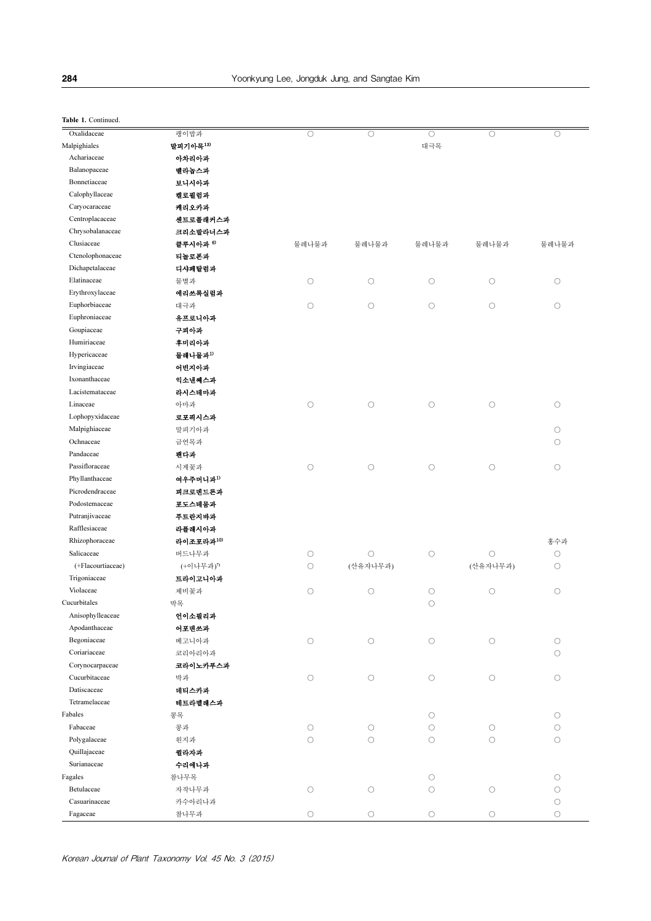| Oxalidaceae       | 괭이밥과      | $\circ$    | $\circ$    | $\circ$    | $\circ$    | О          |
|-------------------|-----------|------------|------------|------------|------------|------------|
| Malpighiales      | 말피기아목13)  |            |            | 대극목        |            |            |
| Achariaceae       | 아차리아과     |            |            |            |            |            |
| Balanopaceae      | 벨라놉스과     |            |            |            |            |            |
| Bonnetiaceae      | 보니시아과     |            |            |            |            |            |
| Calophyllaceae    | 켈로필럼과     |            |            |            |            |            |
| Caryocaraceae     | 케리오카과     |            |            |            |            |            |
| Centroplacaceae   | 센트로플래커스과  |            |            |            |            |            |
| Chrysobalanaceae  | 크리소발라너스과  |            |            |            |            |            |
| Clusiaceae        | 클루시아과 6)  | 물레나물과      | 물레나물과      | 물레나물과      | 물레나물과      | 물레나물과      |
| Ctenolophonaceae  | 티놀로폰과     |            |            |            |            |            |
| Dichapetalaceae   | 디샤페탈럼과    |            |            |            |            |            |
| Elatinaceae       | 물별과       | $\bigcirc$ | $\circ$    | $\bigcirc$ | $\circ$    | $\circ$    |
| Erythroxylaceae   | 에리쓰룩실럼과   |            |            |            |            |            |
| Euphorbiaceae     | 대극과       | $\bigcirc$ | $\bigcirc$ | $\bigcirc$ | $\bigcirc$ | $\circ$    |
| Euphroniaceae     | 유프로니아과    |            |            |            |            |            |
| Goupiaceae        | 구피아과      |            |            |            |            |            |
| Humiriaceae       | 후미리아과     |            |            |            |            |            |
| Hypericaceae      | 물레나물과"    |            |            |            |            |            |
| Irvingiaceae      | 어빈지아과     |            |            |            |            |            |
| Ixonanthaceae     | 익소낸째스과    |            |            |            |            |            |
| Lacistemataceae   | 라시스테마과    |            |            |            |            |            |
| Linaceae          | 아마과       | $\bigcirc$ | $\circ$    | $\bigcirc$ | $\bigcirc$ | $\bigcirc$ |
| Lophopyxidaceae   | 로포픽시스과    |            |            |            |            |            |
| Malpighiaceae     | 말피기아과     |            |            |            |            | $\circ$    |
| Ochnaceae         | 금연목과      |            |            |            |            | $\circ$    |
| Pandaceae         | 팬다과       |            |            |            |            |            |
| Passifloraceae    | 시계꽃과      | $\bigcirc$ | $\circ$    | $\bigcirc$ | $\circ$    | $\bigcirc$ |
| Phyllanthaceae    | 여우주머니과"   |            |            |            |            |            |
| Picrodendraceae   | 피크로덴드론과   |            |            |            |            |            |
| Podostemaceae     | 포도스테뭄과    |            |            |            |            |            |
| Putranjivaceae    | 푸트란지바과    |            |            |            |            |            |
| Rafflesiaceae     | 라플레시아과    |            |            |            |            |            |
| Rhizophoraceae    | 라이조포라과10) |            |            |            |            | 홍수과        |
| Salicaceae        | 버드나무과     | $\bigcirc$ | $\circ$    | $\bigcirc$ | $\circ$    | $\circ$    |
| (+Flacourtiaceae) | (+이나무과)"  | $\bigcirc$ | (산유자나무과)   |            | (산유자나무과)   | $\circ$    |
| Trigoniaceae      | 트라이고니아과   |            |            |            |            |            |
| Violaceae         | 제비꽃과      | $\bigcirc$ | $\bigcirc$ | $\circ$    | $\circ$    | $\circ$    |
| Cucurbitales      | 박목        |            |            | $\circ$    |            |            |
| Anisophylleaceae  | 언이소필리과    |            |            |            |            |            |
| Apodanthaceae     | 어포텐쓰과     |            |            |            |            |            |
| Begoniaceae       | 베고니아과     | $\bigcirc$ | $\bigcirc$ | $\bigcirc$ | $\bigcirc$ | $\bigcirc$ |
| Coriariaceae      | 코리아리아과    |            |            |            |            | $\bigcirc$ |
| Corynocarpaceae   | 코라이노카푸스과  |            |            |            |            |            |
| Cucurbitaceae     | 박과        | $\bigcirc$ | $\bigcirc$ | $\bigcirc$ | $\circ$    | $\bigcirc$ |
| Datiscaceae       | 데티스카과     |            |            |            |            |            |
| Tetramelaceae     | 테트라멜레스과   |            |            |            |            |            |
| Fabales           | 콩목        |            |            | $\circ$    |            | $\circ$    |
| Fabaceae          | 콩과        | $\circ$    | $\circ$    | $\circ$    | $\circ$    | $\circ$    |
| Polygalaceae      | 원지과       | $\circ$    | $\bigcirc$ | $\circ$    | $\circ$    | $\circ$    |
| Quillajaceae      | 퀼라자과      |            |            |            |            |            |
| Surianaceae       | 수리에나과     |            |            |            |            |            |
| Fagales           | 참나무목      |            |            | $\bigcirc$ |            | $\circ$    |
| Betulaceae        | 자작나무과     | $\bigcirc$ | $\circ$    | $\circ$    | $\bigcirc$ | $\bigcirc$ |
| Casuarinaceae     | 카수아리나과    |            |            |            |            | $\bigcirc$ |
| Fagaceae          | 참나무과      | $\circ$    | $\circ$    | $\circ$    | $\circ$    | $\circ$    |
|                   |           |            |            |            |            |            |

Table 1. Continued.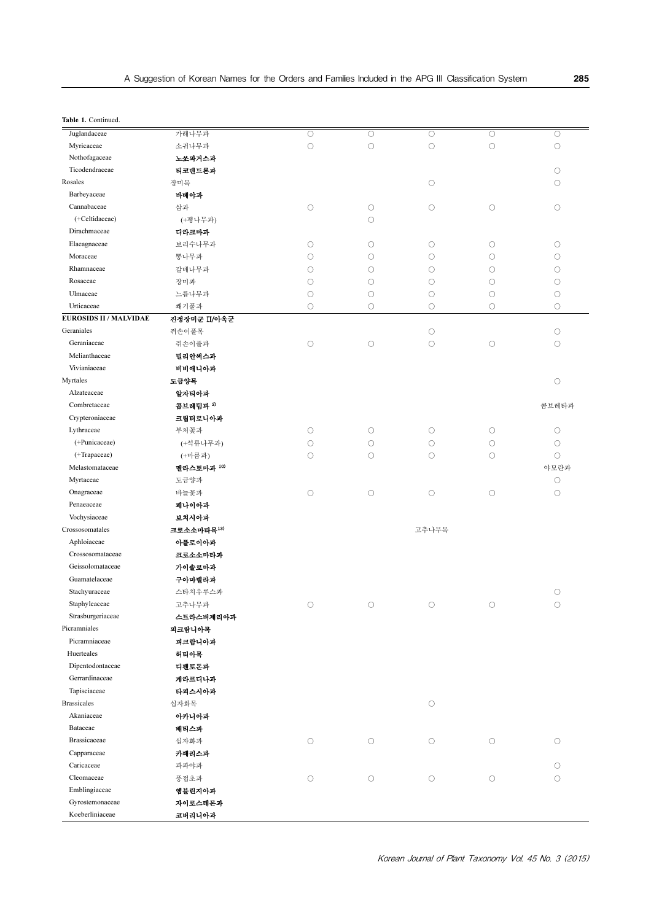| ۰,<br>×<br>I<br>I<br>۰.<br>۰.<br>× |
|------------------------------------|
|------------------------------------|

| Table 1. Continued.           |                        |            |            |            |            |            |
|-------------------------------|------------------------|------------|------------|------------|------------|------------|
| Juglandaceae                  | 가래나무과                  | О          | $\circ$    | $\circ$    | $\circ$    | $\bigcirc$ |
| Myricaceae                    | 소귀나무과                  | $\bigcirc$ | $\bigcirc$ | $\bigcirc$ | $\bigcirc$ | $\bigcirc$ |
| Nothofagaceae                 | 노쏘파거스과                 |            |            |            |            |            |
| Ticodendraceae                | 티코덴드론과                 |            |            |            |            | $\circ$    |
| Rosales                       | 장미목                    |            |            | $\bigcirc$ |            | $\circ$    |
| Barbeyaceae                   | 바베야과                   |            |            |            |            |            |
| Cannabaceae                   | 삼과                     | $\bigcirc$ | $\bigcirc$ | $\bigcirc$ | $\bigcirc$ | $\bigcirc$ |
| (+Celtidaceae)                | (+팽나무과)                |            | $\circ$    |            |            |            |
| Dirachmaceae                  | 디라크마과                  |            |            |            |            |            |
| Elaeagnaceae                  | 보리수나무과                 | $\circ$    | $\circ$    | $\circ$    | $\circ$    | $\circ$    |
| Moraceae                      | 뽕나무과                   | $\bigcirc$ | $\circ$    | $\circ$    | $\circ$    | $\circ$    |
| Rhamnaceae                    | 갈매나무과                  | О          | $\circ$    | $\circ$    | $\circ$    | $\circ$    |
| Rosaceae                      | 장미과                    | О          | $\circ$    | $\circ$    | $\circ$    | $\circ$    |
| Ulmaceae                      | 느릅나무과                  | $\bigcirc$ | $\bigcirc$ | $\bigcirc$ | $\circ$    | $\bigcirc$ |
| Urticaceae                    | 쐐기풀과                   | О          | $\circ$    | О          | $\bigcirc$ | $\bigcirc$ |
| <b>EUROSIDS II / MALVIDAE</b> | 진정장미군 II/아욱군           |            |            |            |            |            |
| Geraniales                    | 쥐손이풀목                  |            |            | $\bigcirc$ |            | $\bigcirc$ |
| Geraniaceae                   | 쥐손이풀과                  | $\bigcirc$ | $\circ$    | $\circ$    | $\bigcirc$ | $\circ$    |
| Melianthaceae                 | 밀리안써스과                 |            |            |            |            |            |
| Vivianiaceae                  | 비비에니아과                 |            |            |            |            |            |
| Myrtales                      | 도금양목                   |            |            |            |            | $\circ$    |
| Alzateaceae                   | 알자티아과                  |            |            |            |            |            |
| Combretaceae                  | 콤브레덤과 <sup>2)</sup>    |            |            |            |            | 콤브레타과      |
| Crypteroniaceae               | 크립터로니아과                |            |            |            |            |            |
| Lythraceae                    | 부처꽃과                   | $\bigcirc$ | $\bigcirc$ | $\bigcirc$ | $\bigcirc$ | $\circ$    |
| (+Punicaceae)                 | (+석류나무과)               | $\bigcirc$ | $\bigcirc$ | $\bigcirc$ | $\bigcirc$ | $\circ$    |
| (+Trapaceae)                  | (+마름과)                 | $\bigcirc$ | $\bigcirc$ | $\bigcirc$ | $\bigcirc$ | $\circ$    |
| Melastomataceae               | 멜라스토마과 10)             |            |            |            |            | 야모란과       |
| Myrtaceae                     | 도금양과                   |            |            |            |            | $\circ$    |
| Onagraceae                    | 바늘꽃과                   | $\bigcirc$ | $\bigcirc$ | $\bigcirc$ | $\circ$    | $\circ$    |
| Penaeaceae                    | 페나이아과                  |            |            |            |            |            |
| Vochysiaceae                  | 보치시아과                  |            |            |            |            |            |
| Crossosomatales               | 크로소소마타목 <sup>13)</sup> |            |            | 고추나무목      |            |            |
| Aphloiaceae                   | 아플로이아과                 |            |            |            |            |            |
| Crossosomataceae              | 크로소소마타과                |            |            |            |            |            |
| Geissolomataceae              | 가이솔로마과                 |            |            |            |            |            |
| Guamatelaceae                 | 구아마텔라과                 |            |            |            |            |            |
| Stachyuraceae                 | 스타치우루스과                |            |            |            |            | $\bigcirc$ |
| Staphyleaceae                 | 고추나무과                  | О          | О          | $\circ$    | О          | $\circ$    |
| Strasburgeriaceae             | 스트라스버제리아과              |            |            |            |            |            |
| Picramniales                  | 피크람니아목                 |            |            |            |            |            |
| Picramniaceae                 | 피크람니아과                 |            |            |            |            |            |
| Huerteales                    | 허디아목                   |            |            |            |            |            |
| Dipentodontaceae              | 디펜토돈과                  |            |            |            |            |            |
| Gerrardinaceae                | 게라르디나과                 |            |            |            |            |            |
| Tapisciaceae                  | 타피스시아과                 |            |            |            |            |            |
| <b>Brassicales</b>            | 십자화목                   |            |            | $\bigcirc$ |            |            |
| Akaniaceae                    | 아카니아과                  |            |            |            |            |            |
| Bataceae                      | 배티스과                   |            |            |            |            |            |
| <b>Brassicaceae</b>           | 십자화과                   | $\bigcirc$ | $\circ$    | $\circ$    | $\circ$    | $\circ$    |
| Capparaceae                   | 카페리스과                  |            |            |            |            |            |
| Caricaceae                    | 파파야과                   |            |            |            |            | $\circ$    |
| Cleomaceae                    | 풍접초과                   | $\bigcirc$ | $\circ$    | $\bigcirc$ | $\circ$    | $\bigcirc$ |
| Emblingiaceae                 | 엠블린지아과                 |            |            |            |            |            |
| Gyrostemonaceae               | 자이로스테몬과                |            |            |            |            |            |
| Koeberliniaceae               | 코버리니아과                 |            |            |            |            |            |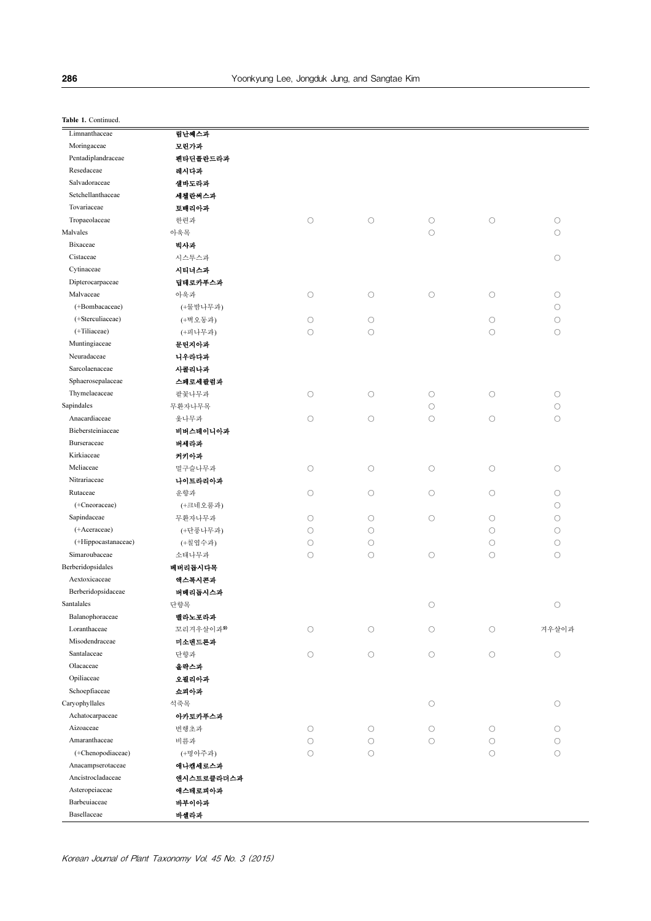|  | Table 1. Continued. |
|--|---------------------|
|  |                     |

| <b>Table 1.</b> Continued. |                       |            |            |                     |                     |            |
|----------------------------|-----------------------|------------|------------|---------------------|---------------------|------------|
| Limnanthaceae              | 림난쎄스과                 |            |            |                     |                     |            |
| Moringaceae                | 모린가과                  |            |            |                     |                     |            |
| Pentadiplandraceae         | 펜타딘플란드라과              |            |            |                     |                     |            |
| Resedaceae                 | 레시다과                  |            |            |                     |                     |            |
| Salvadoraceae              | 샐바도라과                 |            |            |                     |                     |            |
| Setchellanthaceae          | 세첼란써스과                |            |            |                     |                     |            |
| Tovariaceae                | 토배리아과                 |            |            |                     |                     |            |
| Tropaeolaceae              | 한련과                   | $\circ$    | $\circ$    | $\circ$             | $\circ$             | $\bigcirc$ |
| Malvales                   | 아욱목                   |            |            | $\circ$             |                     | $\bigcirc$ |
| Bixaceae                   | 빅사과                   |            |            |                     |                     |            |
| Cistaceae                  | 시스투스과                 |            |            |                     |                     | $\circ$    |
| Cytinaceae                 | 시티너스과                 |            |            |                     |                     |            |
| Dipterocarpaceae           | 딥테로카푸스과               |            |            |                     |                     |            |
| Malvaceae                  | 아욱과                   | $\bigcirc$ | $\circ$    | $\circlearrowright$ | $\circ$             | $\bigcirc$ |
| (+Bombacaceae)             | (+물밤나무과)              |            |            |                     |                     | $\bigcirc$ |
| (+Sterculiaceae)           | (+벽오동과)               | $\circ$    | $\circ$    |                     | $\circ$             | $\bigcirc$ |
| (+Tiliaceae)               | (+피나무과)               | $\circ$    | $\circ$    |                     | $\circ$             | $\circ$    |
| Muntingiaceae              | 문틴지아과                 |            |            |                     |                     |            |
| Neuradaceae                | 니우라다과                 |            |            |                     |                     |            |
| Sarcolaenaceae             |                       |            |            |                     |                     |            |
| Sphaerosepalaceae          | 사클리나과                 |            |            |                     |                     |            |
| Thymelaeaceae              | 스페로세팔럼과               |            |            |                     |                     |            |
|                            | 팥꽃나무과                 | $\circ$    | $\circ$    | $\circ$             | $\circ$             | $\bigcirc$ |
| Sapindales                 | 무환자나무목                |            |            | $\circlearrowright$ |                     | $\bigcirc$ |
| Anacardiaceae              | 옻나무과                  | $\circ$    | $\circ$    | $\circlearrowright$ | $\circ$             | $\bigcirc$ |
| Biebersteiniaceae          | 비버스테이니아과              |            |            |                     |                     |            |
| Burseraceae                | 비세라과                  |            |            |                     |                     |            |
| Kirkiaceae                 | 커키아과                  |            |            |                     |                     |            |
| Meliaceae                  | 멀구슬나무과                | $\circ$    | $\circ$    | $\circ$             | $\circ$             | $\circ$    |
| Nitrariaceae               | 나이트라리아과               |            |            |                     |                     |            |
| Rutaceae                   | 운향과                   | $\circ$    | $\circ$    | О                   | $\circ$             | $\circ$    |
| (+Cneoraceae)              | (+크네오룸과)              |            |            |                     |                     | $\bigcirc$ |
| Sapindaceae                | 무환자나무과                | $\circ$    | $\circ$    | $\circlearrowright$ | $\circ$             | $\bigcirc$ |
| (+Aceraceae)               | (+단풍나무과)              | $\circ$    | О          |                     | О                   | $\bigcirc$ |
| (+Hippocastanaceae)        | (+칠엽수과)               | $\circ$    | $\circ$    |                     | $\circ$             | $\bigcirc$ |
| Simaroubaceae              | 소태나무과                 | $\circ$    | $\circ$    | $\circlearrowright$ | $\circ$             | $\circ$    |
| Berberidopsidales          | 베버리돕시다목               |            |            |                     |                     |            |
| Aextoxicaceae              | 액스톡시콘과                |            |            |                     |                     |            |
| Berberidopsidaceae         | 버베리둡시스과               |            |            |                     |                     |            |
| Santalales                 | 단향목                   |            |            | $\circ$             |                     | $\circ$    |
| Balanophoraceae            | 밸라노포라과                |            |            |                     |                     |            |
| Loranthaceae               | 꼬리겨우살이과 <sup>9)</sup> | $\bigcirc$ | $\circ$    | $\bigcirc$          | $\circ$             | 겨우살이과      |
| Misodendraceae             | 미소텐드론과                |            |            |                     |                     |            |
| Santalaceae                | 단향과                   | $\bigcirc$ | $\bigcirc$ | $\bigcirc$          | $\bigcirc$          | $\bigcirc$ |
| Olacaceae                  | 올락스과                  |            |            |                     |                     |            |
| Opiliaceae                 | 오필리아과                 |            |            |                     |                     |            |
| Schoepfiaceae              | 쇼피아괴                  |            |            |                     |                     |            |
| Caryophyllales             | 석죽목                   |            |            | $\circ$             |                     | $\bigcirc$ |
| Achatocarpaceae            | 아카토카푸스과               |            |            |                     |                     |            |
| Aizoaceae                  | 번행초과                  | $\circ$    | $\circ$    | $\circ$             | $\circlearrowright$ | $\circ$    |
| Amaranthaceae              | 비름과                   | $\bigcirc$ | $\bigcirc$ | $\circlearrowright$ | $\bigcirc$          | $\bigcirc$ |
| (+Chenopodiaceae)          | (+명아주과)               | $\circ$    | $\circ$    |                     | $\circ$             | $\bigcirc$ |
| Anacampserotaceae          | 애나캠세로스과               |            |            |                     |                     |            |
| Ancistrocladaceae          | 엔시스트로클라더스과            |            |            |                     |                     |            |
| Asteropeiaceae             | 애스테로피아과               |            |            |                     |                     |            |
| Barbeuiaceae               | 바부이아과                 |            |            |                     |                     |            |
| Basellaceae                | 바셀라과                  |            |            |                     |                     |            |
|                            |                       |            |            |                     |                     |            |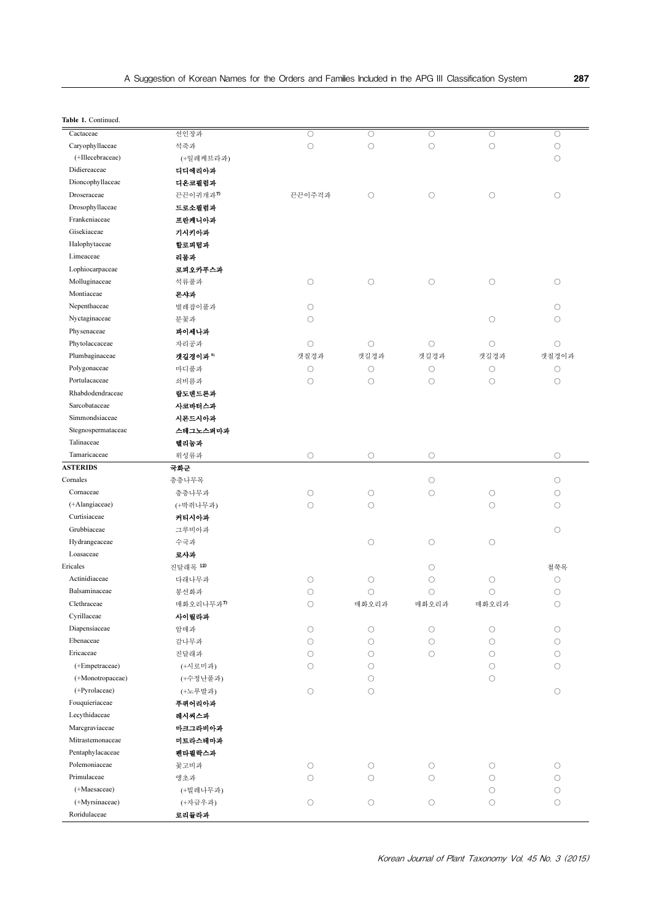| Cactaceae          | 선인장과                  | $\circ$    | $\bigcirc$ | $\circ$    | $\circ$             | $\circ$    |
|--------------------|-----------------------|------------|------------|------------|---------------------|------------|
| Caryophyllaceae    | 석죽과                   | $\circ$    | $\circ$    | $\circ$    | $\bigcirc$          | $\circ$    |
| (+Illecebraceae)   | (+일레케브라과)             |            |            |            |                     | $\circ$    |
| Didiereaceae       | 디디에리아과                |            |            |            |                     |            |
| Dioncophyllaceae   | 디온코필럼과                |            |            |            |                     |            |
| Droseraceae        | 끈끈이귀개과 <sup>70</sup>  | 끈끈이주걱과     | $\bigcirc$ | $\bigcirc$ | $\circ$             | $\circ$    |
| Drosophyllaceae    | 드로소필럼과                |            |            |            |                     |            |
| Frankeniaceae      | 프란케니아과                |            |            |            |                     |            |
| Gisekiaceae        | 기시키아과                 |            |            |            |                     |            |
| Halophytaceae      | 할로피덤과                 |            |            |            |                     |            |
| Limeaceae          | 리뭄과                   |            |            |            |                     |            |
| Lophiocarpaceae    | 로피오카푸스과               |            |            |            |                     |            |
| Molluginaceae      | 석류풀과                  | $\bigcirc$ | $\bigcirc$ | $\bigcirc$ | $\bigcirc$          | $\circ$    |
| Montiaceae         | 몬샤과                   |            |            |            |                     |            |
| Nepenthaceae       | 벌레잡이풀과                | $\circ$    |            |            |                     | $\circ$    |
| Nyctaginaceae      | 분꽃과                   | $\circ$    |            |            | $\bigcirc$          | $\circ$    |
| Physenaceae        | 파이세나과                 |            |            |            |                     |            |
| Phytolaccaceae     | 자리공과                  | $\bigcirc$ | $\circ$    | $\bigcirc$ | $\bigcirc$          | $\circ$    |
|                    | 갯길경이과 8)              |            |            |            |                     |            |
| Plumbaginaceae     |                       | 갯질경과       | 갯길경과       | 갯길경과       | 갯길경과                | 갯질경이과      |
| Polygonaceae       | 마디풀과                  | $\circ$    | $\bigcirc$ | $\bigcirc$ | $\circ$             | $\circ$    |
| Portulacaceae      | 쇠비름과                  | $\circ$    | $\circ$    | $\bigcirc$ | $\circ$             | $\circ$    |
| Rhabdodendraceae   | 랍도텐드론과                |            |            |            |                     |            |
| Sarcobataceae      | 사코바터스과                |            |            |            |                     |            |
| Simmondsiaceae     | 시몬드시아과                |            |            |            |                     |            |
| Stegnospermataceae | 스테그노스퍼마과              |            |            |            |                     |            |
| Talinaceae         | 텔리눔과                  |            |            |            |                     |            |
| Tamaricaceae       | 위성류과                  | $\circ$    | $\bigcirc$ | $\circ$    |                     | $\circ$    |
| <b>ASTERIDS</b>    | 국화군                   |            |            |            |                     |            |
| Cornales           | 층층나무목                 |            |            | $\bigcirc$ |                     | $\circ$    |
| Cornaceae          | 층층나무과                 | $\circ$    | $\bigcirc$ | $\bigcirc$ | $\circ$             | $\circ$    |
| (+Alangiaceae)     | (+박쥐나무과)              | $\bigcirc$ | $\circ$    |            | $\bigcirc$          | $\circ$    |
| Curtisiaceae       | 커티시아과                 |            |            |            |                     |            |
| Grubbiaceae        | 그루비아과                 |            |            |            |                     | $\bigcirc$ |
| Hydrangeaceae      | 수국과                   |            | $\bigcirc$ | $\circ$    | $\circ$             |            |
| Loasaceae          | 로사과                   |            |            |            |                     |            |
| Ericales           | 진달래목 12)              |            |            | $\bigcirc$ |                     | 철쭉목        |
| Actinidiaceae      | 다래나무과                 | $\circ$    | $\bigcirc$ | $\bigcirc$ | $\bigcirc$          | $\circ$    |
| Balsaminaceae      | 봉선화과                  | О          | $\circ$    | $\bigcirc$ | $\circ$             | $\circ$    |
| Clethraceae        | 매화오리나무과 <sup>70</sup> | $\bigcirc$ | 매화오리과      | 매화오리과      | 매화오리과               | $\circ$    |
| Cyrillaceae        | 사이릴라과                 |            |            |            |                     |            |
| Diapensiaceae      | 암매과                   | $\circ$    | $\bigcirc$ | $\bigcirc$ | $\bigcirc$          | $\bigcirc$ |
| Ebenaceae          | 감나무과                  | $\bigcirc$ | $\bigcirc$ | $\bigcirc$ | $\bigcirc$          | $\bigcirc$ |
| Ericaceae          | 진달래과                  | О          | $\circ$    | $\bigcirc$ | $\circ$             | $\circ$    |
| (+Empetraceae)     | (+시로미과)               | О          | $\circ$    |            | $\circ$             | $\bigcirc$ |
| (+Monotropaceae)   | (+수정난풀과)              |            | $\bigcirc$ |            | $\bigcirc$          |            |
| (+Pyrolaceae)      | (+노루발과)               | $\circ$    | $\bigcirc$ |            |                     | $\bigcirc$ |
| Fouquieriaceae     | 푸퀴어리아과                |            |            |            |                     |            |
| Lecythidaceae      | 레시씨스과                 |            |            |            |                     |            |
| Marcgraviaceae     | 마크그라비아과               |            |            |            |                     |            |
| Mitrastemonaceae   | 미트라스테마과               |            |            |            |                     |            |
| Pentaphylacaceae   | 펜타필락스과                |            |            |            |                     |            |
| Polemoniaceae      | 꽃고비과                  | $\circ$    | $\bigcirc$ | $\circ$    | $\circlearrowright$ | $\circ$    |
| Primulaceae        | 앵초과                   | $\circ$    | $\bigcirc$ | $\bigcirc$ | $\bigcirc$          | $\circ$    |
| (+Maesaceae)       | (+빌레나무과)              |            |            |            | $\bigcirc$          | $\circ$    |
| (+Myrsinaceae)     | (+자금우과)               | $\circ$    | $\bigcirc$ | $\bigcirc$ | $\bigcirc$          | $\circ$    |
|                    |                       |            |            |            |                     |            |

Roridulaceae 로리<mark>둘라과</mark>

Table 1. Continued.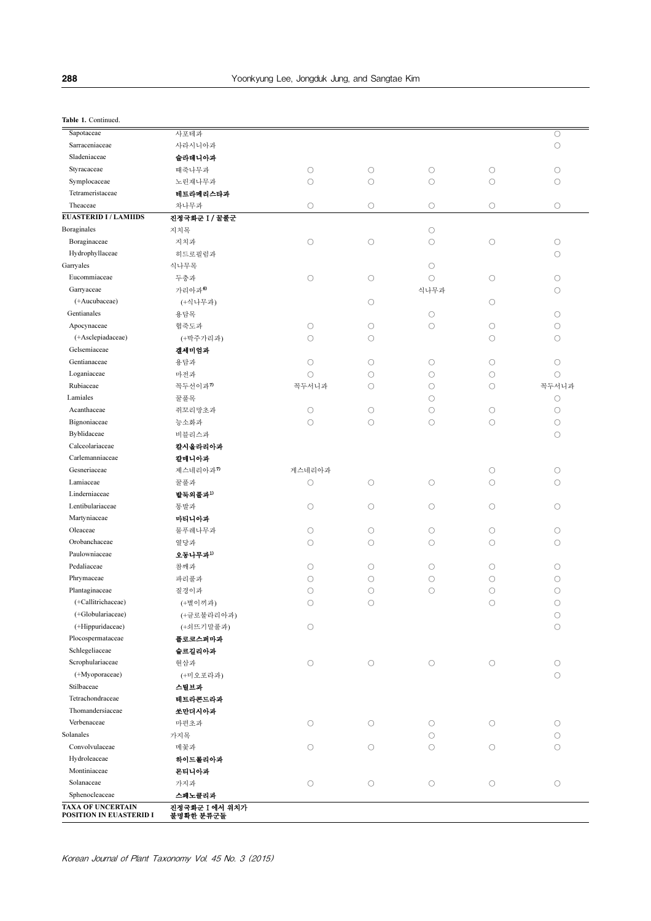| Table 1. Continued.                                 |                             |            |            |            |                     |            |
|-----------------------------------------------------|-----------------------------|------------|------------|------------|---------------------|------------|
| Sapotaceae                                          | 사포테과                        |            |            |            |                     | $\circ$    |
| Sarraceniaceae                                      | 사라시니아과                      |            |            |            |                     | $\circ$    |
| Sladeniaceae                                        | 슬라데니아과                      |            |            |            |                     |            |
| Styracaceae                                         | 때죽나무과                       | $\bigcirc$ | $\circ$    | $\bigcirc$ | $\circ$             | $\circ$    |
| Symplocaceae                                        | 노린재나무과                      | $\circ$    | $\circ$    | $\circ$    | $\circ$             | $\circ$    |
| Tetrameristaceae                                    | 테트라메리스타과                    |            |            |            |                     |            |
| Theaceae                                            | 차나무과                        | $\circ$    | $\bigcirc$ | $\circ$    | $\circ$             | $\circ$    |
| <b>EUASTERID I/LAMIIDS</b>                          | 진정국화군 I / 꿀풀군               |            |            |            |                     |            |
| <b>Boraginales</b>                                  | 지치목                         |            |            | $\circ$    |                     |            |
| Boraginaceae                                        | 지치과                         | $\circ$    | $\circ$    | $\circ$    | $\circ$             | $\bigcirc$ |
| Hydrophyllaceae                                     | 히드로필럼과                      |            |            |            |                     | $\circ$    |
| Garryales                                           | 식나무목                        |            |            | $\circ$    |                     |            |
| Eucommiaceae                                        | 두층과                         | $\bigcirc$ | $\circ$    | $\circ$    | $\bigcirc$          | $\bigcirc$ |
| Garryaceae                                          | 가리아과 <sup>6)</sup>          |            |            | 식나무과       |                     | $\circ$    |
| (+Aucubaceae)                                       | (+식나무과)                     |            | $\circ$    |            | $\circ$             |            |
| Gentianales                                         | 용담목                         |            |            | $\bigcirc$ |                     | $\circ$    |
| Apocynaceae                                         | 협죽도과                        | $\circ$    | $\circ$    | $\circ$    | $\circlearrowright$ | $\circ$    |
| (+Asclepiadaceae)                                   | (+박주가리과)                    | $\circ$    | $\circ$    |            | $\circ$             | $\circ$    |
| Gelsemiaceae                                        | 갤세미엄과                       |            |            |            |                     |            |
| Gentianaceae                                        | 용담과                         | $\circ$    | $\circ$    | $\circ$    | $\circlearrowright$ | $\circ$    |
| Loganiaceae                                         | 마전과                         | $\circ$    | $\circ$    | $\circ$    | $\circ$             | $\bigcirc$ |
| Rubiaceae                                           | 꼭두선이과?                      | 꼭두서니과      | $\circ$    | $\circ$    | $\circ$             | 꼭두서니과      |
| Lamiales                                            | 꿀풀목                         |            |            | $\circ$    |                     | $\circ$    |
| Acanthaceae                                         | 쥐꼬리망초과                      | $\circ$    | $\circ$    | $\circ$    | $\circlearrowright$ | $\circ$    |
| Bignoniaceae                                        | 능소화과                        | $\circ$    | $\circ$    | $\circ$    | $\circ$             | $\bigcirc$ |
| Byblidaceae                                         | 비블리스과                       |            |            |            |                     | $\circ$    |
| Calceolariaceae                                     | 칼시올라리아과                     |            |            |            |                     |            |
| Carlemanniaceae                                     | 칼메니아과                       |            |            |            |                     |            |
| Gesneriaceae                                        | 제스네리아과 <sup>70</sup>        | 게스네리아과     |            |            |                     |            |
| Lamiaceae                                           |                             |            |            |            | $\circ$             | $\circ$    |
| Linderniaceae                                       | 꿀풀과                         | $\bigcirc$ | $\circ$    | $\circ$    | $\circ$             | $\circ$    |
| Lentibulariaceae                                    | 발둑외풀과 <sup>1)</sup>         |            |            |            |                     |            |
| Martyniaceae                                        | 통발과                         | $\circ$    | $\circ$    | $\circ$    | $\circlearrowright$ | $\circ$    |
|                                                     | 마티니아과                       |            |            |            |                     |            |
| Oleaceae<br>Orobanchaceae                           | 물푸레나무과                      | $\circ$    | $\bigcirc$ | $\circ$    | $\circ$             | $\bigcirc$ |
|                                                     | 열당과                         | $\circ$    | $\circ$    | $\circ$    | $\circ$             | $\circ$    |
| Paulowniaceae                                       | 오동나무과"                      |            |            |            |                     |            |
| Pedaliaceae                                         | 참깨과                         | $\circ$    | $\bigcirc$ | $\bigcirc$ | $\circ$             | $\bigcirc$ |
| Phrymaceae                                          | 파리풀과                        | $\circ$    | $\circ$    | $\bigcirc$ | $\circ$             | $\circ$    |
| Plantaginaceae                                      | 질경이과                        | $\circ$    | $\circ$    | $\circ$    | $\circ$             | $\circ$    |
| (+Callitrichaceae)                                  | (+별이끼과)                     | $\bigcirc$ | $\circ$    |            | $\bigcirc$          | $\bigcirc$ |
| (+Globulariaceae)                                   | (+글로불라리아과)                  |            |            |            |                     | $\bigcirc$ |
| (+Hippuridaceae)                                    | (+쇠뜨기말풀과)                   | $\bigcirc$ |            |            |                     | $\bigcirc$ |
| Plocospermataceae                                   | 플로코스퍼마과                     |            |            |            |                     |            |
| Schlegeliaceae                                      | 술르길리아과                      |            |            |            |                     |            |
| Scrophulariaceae                                    | 현삼과                         | $\bigcirc$ | $\bigcirc$ | $\bigcirc$ | $\bigcirc$          | $\bigcirc$ |
| (+Myoporaceae)                                      | (+미오포라과)                    |            |            |            |                     | $\circ$    |
| Stilbaceae                                          | 스틸브과                        |            |            |            |                     |            |
| Tetrachondraceae                                    | 데트라콘드라과                     |            |            |            |                     |            |
| Thomandersiaceae                                    | 쏘만더시아과                      |            |            |            |                     |            |
| Verbenaceae                                         | 마편초과                        | $\bigcirc$ | $\circ$    | $\circ$    | $\bigcirc$          | $\bigcirc$ |
| Solanales                                           | 가지목                         |            |            | $\bigcirc$ |                     | $\bigcirc$ |
| Convolvulaceae                                      | 메꽃과                         | $\circ$    | $\circ$    | $\circ$    | $\circ$             | $\circ$    |
| Hydroleaceae                                        | 하이드롤리아과                     |            |            |            |                     |            |
| Montiniaceae                                        | 몬티니아과                       |            |            |            |                     |            |
| Solanaceae                                          | 가지과                         | $\bigcirc$ | $\bigcirc$ | $\bigcirc$ | $\bigcirc$          | $\bigcirc$ |
| Sphenocleaceae                                      | 스페노클리과                      |            |            |            |                     |            |
| <b>TAXA OF UNCERTAIN</b><br>POSITION IN EUASTERID I | 진정국화군 I 에서 위치가<br>불명확한 분류군들 |            |            |            |                     |            |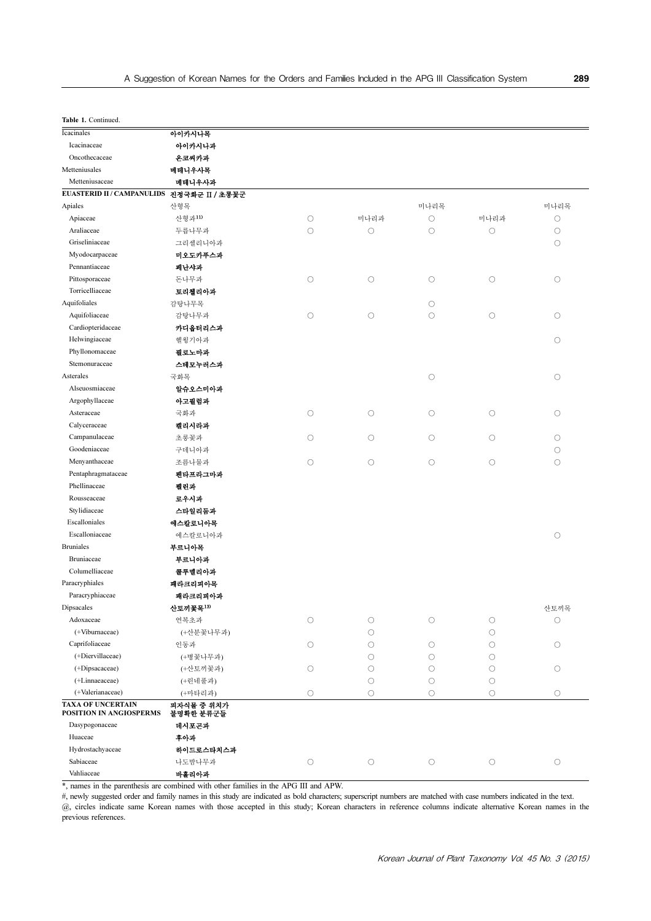| Table 1. Continued.                      |               |            |            |                     |            |            |
|------------------------------------------|---------------|------------|------------|---------------------|------------|------------|
| Icacinales                               | 아이카시나목        |            |            |                     |            |            |
| Icacinaceae                              | 아이카시나과        |            |            |                     |            |            |
| Oncothecaceae                            | 은코씨카과         |            |            |                     |            |            |
| Metteniusales                            | 메테니우사목        |            |            |                     |            |            |
| Metteniusaceae                           | 메테니우사과        |            |            |                     |            |            |
| EUASTERID II/CAMPANULIDS 진정국화군 II / 초롱꽃군 |               |            |            |                     |            |            |
| Apiales                                  | 산형목           |            |            | 미나리목                |            | 미나리목       |
| Apiaceae                                 | 산형과11)        | $\circ$    | 미나리과       | $\circ$             | 미나리과       | $\bigcirc$ |
| Araliaceae                               | 두릅나무과         | $\circ$    | $\circ$    | $\circ$             | $\circ$    | $\bigcirc$ |
| Griseliniaceae                           | 그리셀리니아과       |            |            |                     |            | $\circ$    |
| Myodocarpaceae                           | 미오도카푸스과       |            |            |                     |            |            |
| Pennantiaceae                            | 폐난사과          |            |            |                     |            |            |
| Pittosporaceae                           | 돈나무과          | $\bigcirc$ | $\circ$    | $\bigcirc$          | $\bigcirc$ | $\bigcirc$ |
| Torricelliaceae                          | 토리첼리아과        |            |            |                     |            |            |
| Aquifoliales                             | 감탕나무목         |            |            | $\bigcirc$          |            |            |
| Aquifoliaceae                            | 감탕나무과         | $\circ$    | $\circ$    | $\circ$             | $\circ$    | $\circ$    |
| Cardiopteridaceae                        | 카디옵터리스과       |            |            |                     |            |            |
| Helwingiaceae                            | 헬윙기아과         |            |            |                     |            | $\circ$    |
| Phyllonomaceae                           | 필로노마과         |            |            |                     |            |            |
| Stemonuraceae                            | 스테모누러스과       |            |            |                     |            |            |
| Asterales                                | 국화목           |            |            | $\circlearrowright$ |            | $\bigcirc$ |
| Alseuosmiaceae                           | 알슈오스미아과       |            |            |                     |            |            |
| Argophyllaceae                           | 아고필럼과         |            |            |                     |            |            |
| Asteraceae                               | 국화과           | $\circ$    | $\circ$    | $\circlearrowright$ | $\circ$    | $\bigcirc$ |
| Calyceraceae                             | 켈리시라과         |            |            |                     |            |            |
| Campanulaceae                            | 초롱꽃과          | $\circ$    | $\circ$    | $\circ$             | О          | $\circ$    |
| Goodeniaceae                             | 구데니아과         |            |            |                     |            | $\bigcirc$ |
| Menyanthaceae                            | 조름나물과         | $\circ$    | $\circ$    | $\circ$             | О          | $\circ$    |
| Pentaphragmataceae                       | 펜타프라그마과       |            |            |                     |            |            |
| Phellinaceae                             | 펠린과           |            |            |                     |            |            |
| Rousseaceae                              | 로우시과          |            |            |                     |            |            |
| Stylidiaceae                             | 스타일리듬과        |            |            |                     |            |            |
| Escalloniales                            | 에스칼로니아목       |            |            |                     |            |            |
| Escalloniaceae                           | 에스칼로니아과       |            |            |                     |            | $\bigcirc$ |
| <b>Bruniales</b>                         | 부르니아목         |            |            |                     |            |            |
| Bruniaceae                               | 부르니아과         |            |            |                     |            |            |
| Columelliaceae                           | 콜루멜리아과        |            |            |                     |            |            |
| Paracryphiales                           | 패라크리피아목       |            |            |                     |            |            |
| Paracryphiaceae                          | 패라크리피아과       |            |            |                     |            |            |
| Dipsacales                               | 산토끼꽃목 $^{13}$ |            |            |                     |            | 산토끼목       |
| Adoxaceae                                | 연복초과          | $\bigcirc$ | $\circ$    | $\bigcirc$          | $\bigcirc$ | $\bigcirc$ |
| (+Viburnaceae)                           | (+산분꽃나무과)     |            | $\bigcirc$ |                     | $\bigcirc$ |            |
| Caprifoliaceae                           | 인동과           | $\bigcirc$ | $\circ$    | $\bigcirc$          | $\bigcirc$ | $\bigcirc$ |
| (+Diervillaceae)                         | (+병꽃나무과)      |            | $\circ$    | $\bigcirc$          | О          |            |
| (+Dipsacaceae)                           | (+산토끼꽃과)      | $\circ$    | $\circ$    | $\circ$             | О          | $\circ$    |
| (+Linnaeaceae)                           | (+린네풀과)       |            | $\circ$    | $\bigcirc$          | О          |            |
| (+Valerianaceae)                         | (+마타리과)       | $\circ$    | $\bigcirc$ | $\circ$             | О          | $\bigcirc$ |
| <b>TAXA OF UNCERTAIN</b>                 | 피자식물 중 위치가    |            |            |                     |            |            |
| POSITION IN ANGIOSPERMS                  | 불명확한 분류군들     |            |            |                     |            |            |
| Dasypogonaceae                           | 데시포곤과         |            |            |                     |            |            |
| Huaceae                                  | 후아과           |            |            |                     |            |            |
| Hydrostachyaceae                         | 하이드로스타치스과     |            |            |                     |            |            |
| Sabiaceae                                | 나도밤나무과        | $\bigcirc$ | $\bigcirc$ | $\bigcirc$          | $\bigcirc$ | $\bigcirc$ |
| Vahliaceae                               | 바흘리아과         |            |            |                     |            |            |

\*, names in the parenthesis are combined with other families in the APG III and APW.

#, newly suggested order and family names in this study are indicated as bold characters; superscript numbers are matched with case numbers indicated in the text.

@, circles indicate same Korean names with those accepted in this study; Korean characters in reference columns indicate alternative Korean names in the previous references.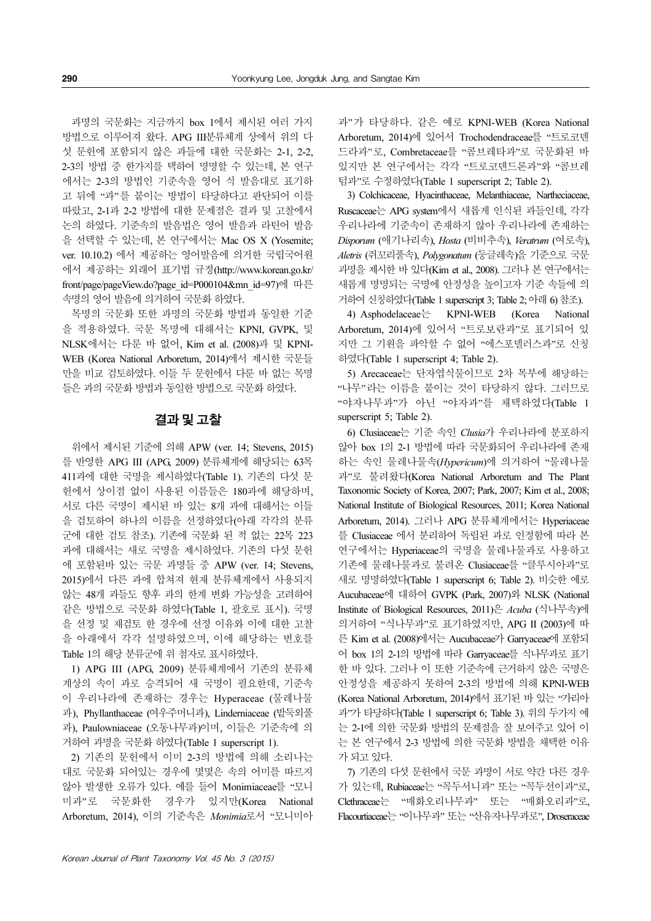과명의 국문화는 지금까지 box 1에서 제시된 여러 가지 방법으로 이루어져 왔다. APG III분류체계 상에서 위의 다 섯 문헌에 포함되지 않은 과들에 대한 국문화는 2-1, 2-2, 2-3의 방법 중 한가지를 택하여 명명할 수 있는데, 본 연구 에서는 2-3의 방법인 기준속을 영어 식 발음대로 표기하 고 뒤에 "과"를 붙이는 방법이 타당하다고 판단되어 이를 따랐고, 2-1과 2-2 방법에 대한 문제점은 결과 및 고찰에서 논의 하였다. 기준속의 발음법은 영어 발음과 라틴어 발음 을 선택할 수 있는데, 본 연구에서는 Mac OS X (Yosemite; ver. 10.10.2) 에서 제공하는 영어발음에 의거한 국립국어원 에서 제공하는 외래어 표기법 규정(http://www.korean.go.kr/ front/page/pageView.do?page\_id=P000104&mn\_id=97)에 따른 속명의 영어 발음에 의거하여 국문화 하였다.

목명의 국문화 또한 과명의 국문화 방법과 동일한 기준 을 적용하였다. 국문 목명에 대해서는 KPNI, GVPK, 및 NLSK에서는 다룬 바 없어, Kim et al. (2008)과 및 KPNI-WEB (Korea National Arboretum, 2014)에서 제시한 국문들 만을 비교 검토하였다. 이들 두 문헌에서 다룬 바 없는 목명 들은 과의 국문화 방법과 동일한 방법으로 국문화 하였다.

#### 결과및고찰

위에서 제시된 기준에 의해 APW (ver. 14; Stevens, 2015) 를 반영한 APG III (APG, 2009) 분류체계에 해당되는 63목 411과에 대한 국명을 제시하였다(Table 1). 기존의 다섯 문 헌에서 상이점 없이 사용된 이름들은 180과에 해당하며, 서로 다른 국명이 제시된 바 있는 8개 과에 대해서는 이들 을 검토하여 하나의 이름을 선정하였다(아래 각각의 분류 군에 대한 검토 참조). 기존에 국문화 된 적 없는 22목 223 과에 대해서는 새로 국명을 제시하였다. 기존의 다섯 문헌 에 포함된바 있는 국문 과명들 중 APW (ver. 14; Stevens, 2015)에서 다른 과에 합쳐져 현재 분류체계에서 사용되지 않는 48개 과들도 향후 과의 한계 변화 가능성을 고려하여 같은 방법으로 국문화 하였다(Table 1, 괄호로 표시). 국명 을 선정 및 재검토 한 경우에 선정 이유와 이에 대한 고찰 을 아래에서 각각 설명하였으며, 이에 해당하는 번호를 Table 1의 해당 분류군에 위 첨자로 표시하였다.

1) APG III (APG, 2009) 분류체계에서 기존의 분류체 계상의 속이 과로 승격되어 새 국명이 필요한데, 기준속 이 우리나라에 존재하는 경우는 Hyperaceae (물레나물 과), Phyllanthaceae (여우주머니과), Linderniaceae (밭둑외풀 과), Paulowniaceae (오동나무과)이며, 이들은 기준속에 의 거하여 과명을 국문화 하였다(Table 1 superscript 1).

2) 기존의 문헌에서 이미 2-3의 방법에 의해 소리나는 대로 국문화 되어있는 경우에 몇몇은 속의 어미를 따르지 않아 발생한 오류가 있다. 예를 들어 Monimiaceae를 "모니 미과"로 국문화한 경우가 있지만(Korea National Arboretum, 2014), 이의 기준속은 Monimia로서 "모니미아

과"가 타당하다. 같은 예로 KPNI-WEB (Korea National Arboretum, 2014)에 있어서 Trochodendraceae를 "트로코덴 드라과"로, Combretaceae를 "콤브레타과"로 국문화된 바 있지만 본 연구에서는 각각 "트로코덴드론과"와 "콤브레 텀과"로 수정하였다(Table 1 superscript 2; Table 2).

3) Colchicaceae, Hyacinthaceae, Melanthiaceae, Nartheciaceae, Ruscaceae는 APG system에서 새롭게 인식된 과들인데, 각각 우리나라에 기준속이 존재하지 않아 우리나라에 존재하는 Disporum (애기나리속), Hosta (비비추속), Veratrum (여로속), Aletris (쥐꼬리풀속), Polygonatum (둥글레속)을 기준으로 국문 과명을 제시한 바 있다(Kim et al., 2008). 그러나 본 연구에서는 새롭게 명명되는 국명에 안정성을 높이고자 기준 속들에 의 거하여신칭하였다(Table 1 superscript 3; Table 2; 아래 6) 참조).

4) Asphodelaceae는 KPNI-WEB (Korea National Arboretum, 2014)에 있어서 "트로보란과"로 표기되어 있 지만 그 기원을 파악할 수 없어 "에스포델러스과"로 신칭 하였다(Table 1 superscript 4; Table 2).

5) Arecaceae는 단자엽식물이므로 2차 목부에 해당하는 "나무"라는 이름을 붙이는 것이 타당하지 않다. 그러므로 "야자나무과"가 아닌 "야자과"를 채택하였다(Table 1 superscript 5; Table 2).

6) Clusiaceae는 기준 속인 Clusia가 우리나라에 분포하지 않아 box 1의 2-1 방법에 따라 국문화되어 우리나라에 존재 하는 속인 물레나물속(Hypericum)에 의거하여 "물레나물 과"로 불려왔다(Korea National Arboretum and The Plant Taxonomic Society of Korea, 2007; Park, 2007; Kim et al., 2008; National Institute of Biological Resources, 2011; Korea National Arboretum, 2014). 그러나 APG 분류체계에서는 Hyperiaceae 를 Clusiaceae 에서 분리하여 독립된 과로 인정함에 따라 본 연구에서는 Hyperiaceae의 국명을 물레나물과로 사용하고 기존에 물레나물과로 불려온 Clusiaceae를 "클루시아과"로 새로 명명하였다(Table 1 superscript 6; Table 2). 비슷한 예로 Aucubaceae에 대하여 GVPK (Park, 2007)와 NLSK (National Institute of Biological Resources, 2011)은 Acuba (식나무속)에 의거하여 "식나무과"로 표기하였지만, APG II (2003)에 따 른 Kim et al. (2008)에서는 Aucubaceae가 Garryaceae에 포함되 어 box 1의 2-1의 방법에 따라 Garryaceae를 식나무과로 표기 한 바 있다. 그러나 이 또한 기준속에 근거하지 않은 국명은 안정성을 제공하지 못하여 2-3의 방법에 의해 KPNI-WEB (Korea National Arboretum, 2014)에서 표기된 바 있는 "가리아 과"가 타당하다(Table 1 superscript 6; Table 3). 위의 두가지 예 는 2-1에 의한 국문화 방법의 문제점을 잘 보여주고 있어 이 는 본 연구에서 2-3 방법에 의한 국문화 방법을 채택한 이유 가 되고 있다.

7) 기존의 다섯 문헌에서 국문 과명이 서로 약간 다른 경우 가 있는데, Rubiaceae는 "꼭두서니과" 또는 "꼭두선이과"로, Clethraceae는 "매화오리나무과" 또는 "매화오리과"로, Flacourtiaceae는 "이나무과" 또는 "산유자나무과로", Droseraceae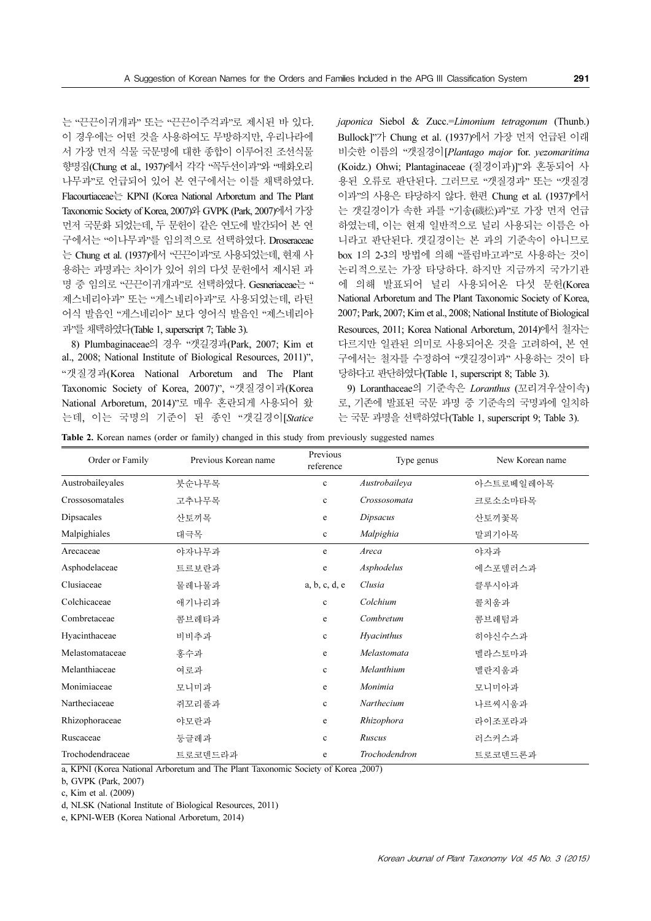는 "끈끈이귀개과" 또는 "끈끈이주걱과"로 제시된 바 있다. 이 경우에는 어떤 것을 사용하여도 무방하지만, 우리나라에 서 가장 먼저 식물 국문명에 대한 종합이 이루어진 조선식물 향명집(Chung et al., 1937)에서 각각 "꼭두선이과"와 "매화오리 나무과"로 언급되어 있어 본 연구에서는 이를 채택하였다. Flacourtiaceae는 KPNI (Korea National Arboretum and The Plant Taxonomic Society of Korea, 2007)와 GVPK (Park, 2007)에서 가장 먼저 국문화 되었는데, 두 문헌이 같은 연도에 발간되어 본 연 구에서는 "이나무과"를 임의적으로 선택하였다. Droseraceae 는 Chung et al. (1937)에서 "끈끈이과"로 사용되었는데, 현재 사 용하는 과명과는 차이가 있어 위의 다섯 문헌에서 제시된 과 명 중 임의로 "끈끈이귀개과"로 선택하였다. Gesneriaceae는 " 제스네리아과" 또는 "게스네리아과"로 사용되었는데, 라틴 어식 발음인 "게스네리아" 보다 영어식 발음인 "제스네리아 과"를 채택하였다(Table 1, superscript 7; Table 3).

8) Plumbaginaceae의 경우 "갯길경과(Park, 2007; Kim et al., 2008; National Institute of Biological Resources, 2011)", "갯질경과(Korea National Arboretum and The Plant Taxonomic Society of Korea, 2007)", "갯질경이과(Korea National Arboretum, 2014)"로 매우 혼란되게 사용되어 왔 는데, 이는 국명의 기준이 된 종인 "갯길경이[Statice japonica Siebol & Zucc.=Limonium tetragonum (Thunb.) Bullock]"가 Chung et al. (1937)에서 가장 먼저 언급된 이래 비슷한 이름의 "갯질경이[Plantago major for. yezomaritima (Koidz.) Ohwi; Plantaginaceae (질경이과)]"와 혼동되어 사 용된 오류로 판단된다. 그러므로 "갯질경과" 또는 "갯질경 이과"의 사용은 타당하지 않다. 한편 Chung et al. (1937)에서 는 갯길경이가 속한 과를 "기송(磯松)과"로 가장 먼저 언급 하였는데, 이는 현재 일반적으로 널리 사용되는 이름은 아 니라고 판단된다. 갯길경이는 본 과의 기준속이 아니므로 box 1의 2-3의 방법에 의해 "플럼바고과"로 사용하는 것이 논리적으로는 가장 타당하다. 하지만 지금까지 국가기관 에 의해 발표되어 널리 사용되어온 다섯 문헌(Korea National Arboretum and The Plant Taxonomic Society of Korea, 2007; Park, 2007; Kim et al., 2008; National Institute of Biological Resources, 2011; Korea National Arboretum, 2014)에서 철자는 다르지만 일관된 의미로 사용되어온 것을 고려하여, 본 연 구에서는 철자를 수정하여 "갯길경이과" 사용하는 것이 타 당하다고 판단하였다(Table 1, superscript 8; Table 3).

9) Loranthaceae의 기준속은 Loranthus (꼬리겨우살이속) 로, 기존에 발표된 국문 과명 중 기준속의 국명과에 일치하 는 국문 과명을 선택하였다(Table 1, superscript 9; Table 3).

Table 2. Korean names (order or family) changed in this study from previously suggested names

| Order or Family  | Previous Korean name | Previous<br>reference | Type genus    | New Korean name |
|------------------|----------------------|-----------------------|---------------|-----------------|
| Austrobaileyales | 붓순나무목                | $\mathbf c$           | Austrobaileya | 아스트로베일레아목       |
| Crossosomatales  | 고추나무목                | $\mathbf c$           | Crossosomata  | 크로소소마타목         |
| Dipsacales       | 산토끼목                 | $\mathbf e$           | Dipsacus      | 산토끼꽃목           |
| Malpighiales     | 대극목                  | $\mathbf c$           | Malpighia     | 말피기아목           |
| Arecaceae        | 야자나무과                | e                     | Areca         | 야자과             |
| Asphodelaceae    | 트르보란과                | $\mathbf e$           | Asphodelus    | 에스포델러스과         |
| Clusiaceae       | 물레나물과                | a, b, c, d, e         | Clusia        | 클루시아과           |
| Colchicaceae     | 애기나리과                | $\mathbf c$           | Colchium      | 콜치움과            |
| Combretaceae     | 콤브레타과                | e                     | Combretum     | 콤브레텀과           |
| Hyacinthaceae    | 비비추과                 | $\mathbf c$           | Hyacinthus    | 히야신수스과          |
| Melastomataceae  | 홍수과                  | $\mathbf e$           | Melastomata   | 멜라스토마과          |
| Melanthiaceae    | 여로과                  | $\mathbf c$           | Melanthium    | 멜란지움과           |
| Monimiaceae      | 모니미과                 | e                     | Monimia       | 모니미아과           |
| Nartheciaceae    | 쥐꼬리풀과                | $\mathbf c$           | Narthecium    | 나르씨시움과          |
| Rhizophoraceae   | 야모란과                 | e                     | Rhizophora    | 라이조포라과          |
| Ruscaceae        | 둥글레과                 | $\mathbf c$           | Ruscus        | 러스커스과           |
| Trochodendraceae | 트로코덴드라과              | e                     | Trochodendron | 트로코덴드론과         |

a, KPNI (Korea National Arboretum and The Plant Taxonomic Society of Korea ,2007)

b, GVPK (Park, 2007)

c, Kim et al. (2009)

d, NLSK (National Institute of Biological Resources, 2011)

e, KPNI-WEB (Korea National Arboretum, 2014)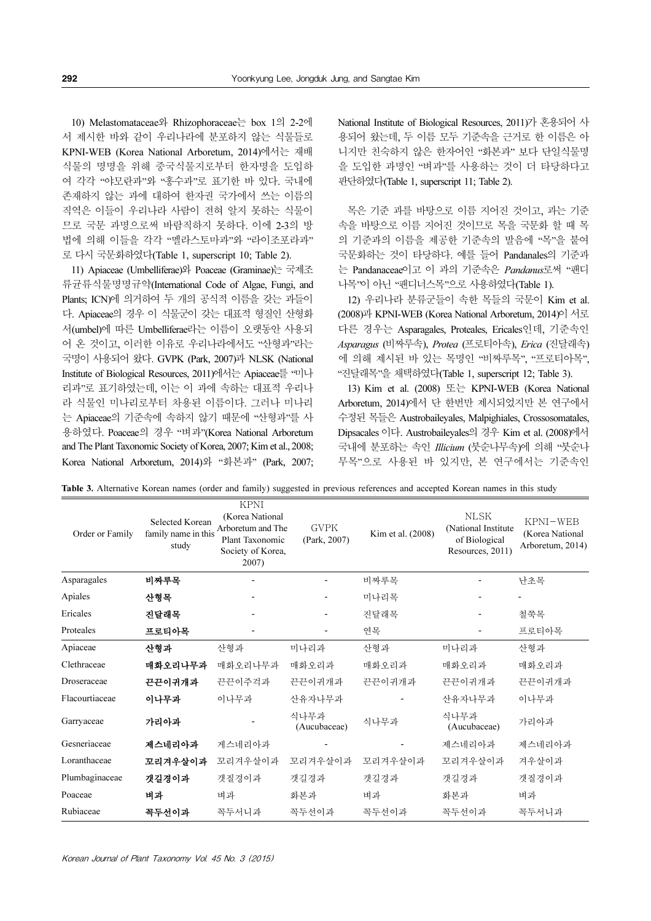10) Melastomataceae와 Rhizophoraceae는 box 1의 2-2에 서 제시한 바와 같이 우리나라에 분포하지 않는 식물들로 KPNI-WEB (Korea National Arboretum, 2014)에서는 재배 식물의 명명을 위해 중국식물지로부터 한자명을 도입하 여 각각 "야모란과"와 "홍수과"로 표기한 바 있다. 국내에 존재하지 않는 과에 대하여 한자권 국가에서 쓰는 이름의 직역은 이들이 우리나라 사람이 전혀 알지 못하는 식물이 므로 국문 과명으로써 바람직하지 못하다. 이에 2-3의 방 법에 의해 이들을 각각 "멜라스토마과"와 "라이조포라과" 로 다시 국문화하였다(Table 1, superscript 10; Table 2).

11) Apiaceae (Umbelliferae)와 Poaceae (Graminae)는 국제조 류균류식물명명규약(International Code of Algae, Fungi, and Plants; ICN)에 의거하여 두 개의 공식적 이름을 갖는 과들이 다. Apiaceae의 경우 이 식물군이 갖는 대표적 형질인 산형화 서(umbel)에 따른 Umbelliferae라는 이름이 오랫동안 사용되 어 온 것이고, 이러한 이유로 우리나라에서도 "산형과"라는 국명이 사용되어 왔다. GVPK (Park, 2007)과 NLSK (National Institute of Biological Resources, 2011)에서는 Apiaceae를 "미나 리과"로 표기하였는데, 이는 이 과에 속하는 대표적 우리나 라 식물인 미나리로부터 차용된 이름이다. 그러나 미나리 는 Apiaceae의 기준속에 속하지 않기 때문에 "산형과"를 사 용하였다. Poaceae의 경우 "벼과"(Korea National Arboretum and The Plant Taxonomic Society of Korea, 2007; Kim et al., 2008; Korea National Arboretum, 2014)와 "화본과" (Park, 2007; National Institute of Biological Resources, 2011)가 혼용되어 사 용되어 왔는데, 두 이름 모두 기준속을 근거로 한 이름은 아 니지만 친숙하지 않은 한자어인 "화본과" 보다 단일식물명 을 도입한 과명인 "벼과"를 사용하는 것이 더 타당하다고 판단하였다(Table 1, superscript 11; Table 2).

목은 기준 과를 바탕으로 이름 지어진 것이고, 과는 기준 속을 바탕으로 이름 지어진 것이므로 목을 국문화 할 때 목 의 기준과의 이름을 제공한 기준속의 발음에 "목"을 붙여 국문화하는 것이 타당하다. 예를 들어 Pandanales의 기준과 는 Pandanaceae이고 이 과의 기준속은 Pandanus로써 "팬디 나목"이 아닌 "팬디너스목"으로 사용하였다(Table 1).

12) 우리나라 분류군들이 속한 목들의 국문이 Kim et al. (2008)과 KPNI-WEB (Korea National Arboretum, 2014)이 서로 다른 경우는 Asparagales, Proteales, Ericales인데, 기준속인 Asparagus (비짜루속), Protea (프로티아속), Erica (진달래속) 에 의해 제시된 바 있는 목명인 "비짜루목", "프로티아목", "진달래목"을 채택하였다(Table 1, superscript 12; Table 3).

13) Kim et al. (2008) 또는 KPNI-WEB (Korea National Arboretum, 2014)에서 단 한번만 제시되었지만 본 연구에서 수정된 목들은 Austrobaileyales, Malpighiales, Crossosomatales, Dipsacales 이다. Austrobaileyales의 경우 Kim et al. (2008)에서 국내에 분포하는 속인 Illicium (붓순나무속)에 의해 "붓순나 무목"으로 사용된 바 있지만, 본 연구에서는 기준속인

| Order or Family | <b>Selected Korean</b><br>family name in this<br>study | <b>KPNI</b><br>(Korea National<br>Arboretum and The<br>Plant Taxonomic<br>Society of Korea,<br>2007) | <b>GVPK</b><br>(Park, 2007) | Kim et al. (2008) | <b>NLSK</b><br>(National Institute<br>of Biological<br>Resources, 2011) | KPNI-WEB<br>(Korea National<br>Arboretum, 2014) |
|-----------------|--------------------------------------------------------|------------------------------------------------------------------------------------------------------|-----------------------------|-------------------|-------------------------------------------------------------------------|-------------------------------------------------|
| Asparagales     | 비짜루목                                                   |                                                                                                      |                             | 비짜루목              |                                                                         | 난초목                                             |
| Apiales         | 산형목                                                    |                                                                                                      |                             | 미나리목              |                                                                         |                                                 |
| Ericales        | 진달래목                                                   |                                                                                                      |                             | 진달래목              |                                                                         | 철쭉목                                             |
| Proteales       | 프로티아목                                                  |                                                                                                      |                             | 연목                |                                                                         | 프로티아목                                           |
| Apiaceae        | 산형과                                                    | 산형과                                                                                                  | 미나리과                        | 산형과               | 미나리과                                                                    | 산형과                                             |
| Clethraceae     | 매화오리나무과                                                | 매화오리나무과                                                                                              | 매화오리과                       | 매화오리과             | 매화오리과                                                                   | 매화오리과                                           |
| Droseraceae     | 끈끈이귀개과                                                 | 끈끈이주걱과                                                                                               | 끈끈이귀개과                      | 끈끈이귀개과            | 끈끈이귀개과                                                                  | 끈끈이귀개과                                          |
| Flacourtiaceae  | 이나무과                                                   | 이나무과                                                                                                 | 산유자나무과                      |                   | 산유자나무과                                                                  | 이나무과                                            |
| Garryaceae      | 가리아과                                                   |                                                                                                      | 식나무과<br>(Aucubaceae)        | 식나무과              | 식나무과<br>(Aucubaceae)                                                    | 가리아과                                            |
| Gesneriaceae    | 제스네리아과                                                 | 게스네리아과                                                                                               |                             |                   | 제스네리아과                                                                  | 제스네리아과                                          |
| Loranthaceae    | 꼬리겨우살이과                                                | 꼬리겨우살이과                                                                                              | 꼬리겨우살이과                     | 꼬리겨우살이과           | 꼬리겨우살이과                                                                 | 겨우살이과                                           |
| Plumbaginaceae  | 갯길경이과                                                  | 갯질경이과                                                                                                | 갯길경과                        | 갯길경과              | 갯길경과                                                                    | 갯질경이과                                           |
| Poaceae         | 비과                                                     | 벼과                                                                                                   | 화본과                         | 벼과                | 화본과                                                                     | 벼과                                              |
| Rubiaceae       | 꼭두선이과                                                  | 꼭두서니과                                                                                                | 꼭두선이과                       | 꼭두선이과             | 꼭두선이과                                                                   | 꼭두서니과                                           |

Table 3. Alternative Korean names (order and family) suggested in previous references and accepted Korean names in this study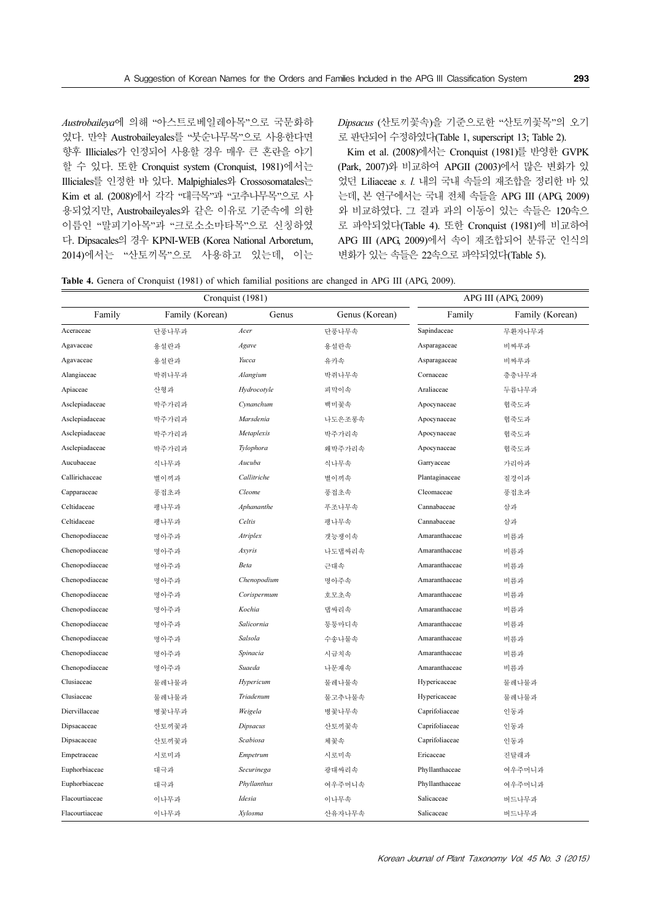Austrobaileya에 의해 "아스트로베일레아목"으로 국문화하 였다. 만약 Austrobaileyales를 "붓순나무목"으로 사용한다면 향후 Illiciales가 인정되어 사용할 경우 매우 큰 혼란을 야기 할 수 있다. 또한 Cronquist system (Cronquist, 1981)에서는 Illiciales를 인정한 바 있다. Malpighiales와 Crossosomatales는 Kim et al. (2008)에서 각각 "대극목"과 "고추나무목"으로 사 용되었지만, Austrobaileyales와 같은 이유로 기준속에 의한 이름인 "말피기아목"과 "크로소소마타목"으로 신칭하였 다. Dipsacales의 경우 KPNI-WEB (Korea National Arboretum, 2014)에서는 "산토끼목"으로 사용하고 있는데, 이는 Dipsacus (산토끼꽃속)을 기준으로한 "산토끼꽃목"의 오기 로 판단되어 수정하였다(Table 1, superscript 13; Table 2).

Kim et al. (2008)에서는 Cronquist (1981)를 반영한 GVPK (Park, 2007)와 비교하여 APGII (2003)에서 많은 변화가 있 었던 Liliaceae s. l. 내의 국내 속들의 재조합을 정리한 바 있 는데, 본 연구에서는 국내 전체 속들을 APG III (APG, 2009) 와 비교하였다. 그 결과 과의 이동이 있는 속들은 120속으 로 파악되었다(Table 4). 또한 Cronquist (1981)에 비교하여 APG III (APG, 2009)에서 속이 재조합되어 분류군 인식의 변화가 있는 속들은 22속으로 파악되었다(Table 5).

Table 4. Genera of Cronquist (1981) of which familial positions are changed in APG III (APG, 2009).

|                | Cronquist (1981) |                 | APG III (APG, 2009) |                |                 |
|----------------|------------------|-----------------|---------------------|----------------|-----------------|
| Family         | Family (Korean)  | Genus           | Genus (Korean)      | Family         | Family (Korean) |
| Aceraceae      | 단풍나무과            | Acer            | 단풍나무속               | Sapindaceae    | 무환자나무과          |
| Agavaceae      | 용설란과             | Agave           | 용설란속                | Asparagaceae   | 비짜루과            |
| Agavaceae      | 용설란과             | Yucca           | 유카속                 | Asparagaceae   | 비짜루과            |
| Alangiaceae    | 박쥐나무과            | Alangium        | 박쥐나무속               | Cornaceae      | 층층나무과           |
| Apiaceae       | 산형과              | Hydrocotyle     | 피막이속                | Araliaceae     | 두릅나무과           |
| Asclepiadaceae | 박주가리과            | Cynanchum       | 백미꽃속                | Apocynaceae    | 협죽도과            |
| Asclepiadaceae | 박주가리과            | Marsdenia       | 나도은조롱속              | Apocynaceae    | 협죽도과            |
| Asclepiadaceae | 박주가리과            | Metaplexis      | 박주가리속               | Apocynaceae    | 협죽도과            |
| Asclepiadaceae | 박주가리과            | Tylophora       | 왜박주가리속              | Apocynaceae    | 협죽도과            |
| Aucubaceae     | 식나무과             | Aucuba          | 식나무속                | Garryaceae     | 가리아과            |
| Callirichaceae | 별이끼과             | Callitriche     | 별이끼속                | Plantaginaceae | 질경이과            |
| Capparaceae    | 풍접초과             | Cleome          | 풍접초속                | Cleomaceae     | 풍접초과            |
| Celtidaceae    | 팽나무과             | Aphananthe      | 푸조나무속               | Cannabaceae    | 삼과              |
| Celtidaceae    | 팽나무과             | Celtis          | 팽나무속                | Cannabaceae    | 삼과              |
| Chenopodiaceae | 명아주과             | <b>Atriplex</b> | 갯능쟁이속               | Amaranthaceae  | 비름과             |
| Chenopodiaceae | 명아주과             | Axyris          | 나도댑싸리속              | Amaranthaceae  | 비름과             |
| Chenopodiaceae | 명아주과             | Beta            | 근대속                 | Amaranthaceae  | 비름과             |
| Chenopodiaceae | 명아주과             | Chenopodium     | 명아주속                | Amaranthaceae  | 비름과             |
| Chenopodiaceae | 명아주과             | Corispermum     | 호모초속                | Amaranthaceae  | 비름과             |
| Chenopodiaceae | 명아주과             | Kochia          | 댑싸리속                | Amaranthaceae  | 비름과             |
| Chenopodiaceae | 명아주과             | Salicornia      | 퉁퉁마디속               | Amaranthaceae  | 비름과             |
| Chenopodiaceae | 명아주과             | Salsola         | 수송나물속               | Amaranthaceae  | 비름과             |
| Chenopodiaceae | 명아주과             | Spinacia        | 시금치속                | Amaranthaceae  | 비름과             |
| Chenopodiaceae | 명아주과             | Suaeda          | 나문재속                | Amaranthaceae  | 비름과             |
| Clusiaceae     | 물레나물과            | Hypericum       | 물레나물속               | Hypericaceae   | 물레나물과           |
| Clusiaceae     | 물레나물과            | Triadenum       | 물고추나물속              | Hypericaceae   | 물레나물과           |
| Diervillaceae  | 병꽃나무과            | Weigela         | 병꽃나무속               | Caprifoliaceae | 인동과             |
| Dipsacaceae    | 산토끼꽃과            | Dipsacus        | 산토끼꽃속               | Caprifoliaceae | 인동과             |
| Dipsacaceae    | 산토끼꽃과            | Scabiosa        | 체꽃속                 | Caprifoliaceae | 인동과             |
| Empetraceae    | 시로미과             | Empetrum        | 시로미속                | Ericaceae      | 진달래과            |
| Euphorbiaceae  | 대극과              | Securinega      | 광대싸리속               | Phyllanthaceae | 여우주머니과          |
| Euphorbiaceae  | 대극과              | Phyllanthus     | 여우주머니속              | Phyllanthaceae | 여우주머니과          |
| Flacourtiaceae | 이나무과             | Idesia          | 이나무속                | Salicaceae     | 버드나무과           |
| Flacourtiaceae | 이나무과             | Xylosma         | 산유자나무속              | Salicaceae     | 버드나무과           |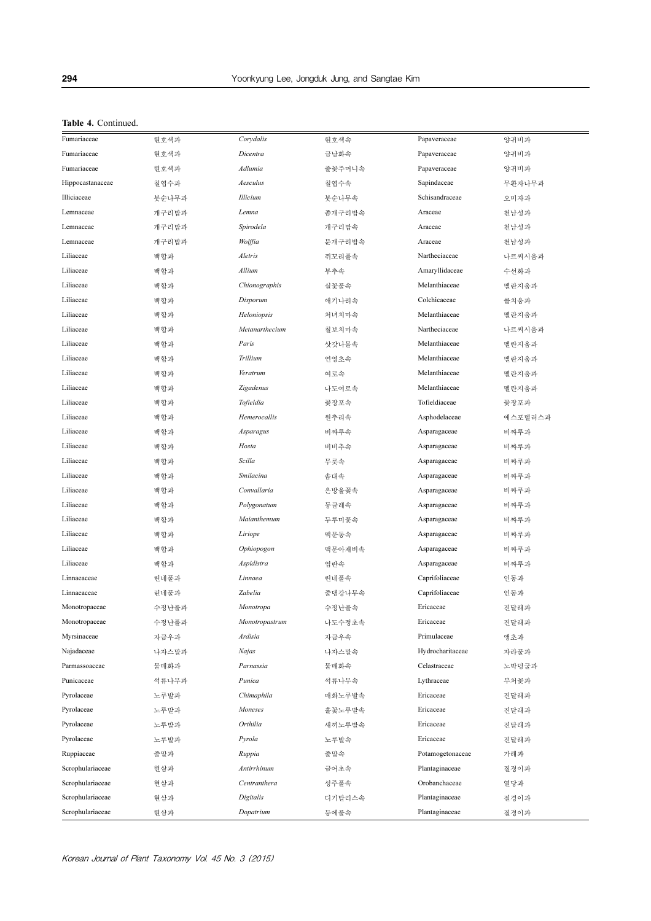Table 4. Continued.

| Fumariaceae      | 현호색과  | Corydalis       | 현호색속   | Papaveraceae     | 양귀비과    |
|------------------|-------|-----------------|--------|------------------|---------|
| Fumariaceae      | 현호색과  | Dicentra        | 금낭화속   | Papaveraceae     | 양귀비과    |
| Fumariaceae      | 현호색과  | Adlumia         | 줄꽃주머니속 | Papaveraceae     | 양귀비과    |
| Hippocastanaceae | 칠엽수과  | Aesculus        | 칠엽수속   | Sapindaceae      | 무환자나무과  |
| Illiciaceae      | 붓순나무과 | <b>Illicium</b> | 붓순나무속  | Schisandraceae   | 오미자과    |
| Lemnaceae        | 개구리밥과 | Lemna           | 좀개구리밥속 | Araceae          | 천남성과    |
| Lemnaceae        | 개구리밥과 | Spirodela       | 개구리밥속  | Araceae          | 천남성과    |
| Lemnaceae        | 개구리밥과 | Wolffia         | 분개구리밥속 | Araceae          | 천남성과    |
| Liliaceae        | 백합과   | Aletris         | 쥐꼬리풀속  | Nartheciaceae    | 나르씨시움과  |
| Liliaceae        | 백합과   | Allium          | 부추속    | Amaryllidaceae   | 수선화과    |
| Liliaceae        | 백합과   | Chionographis   | 실꽃풀속   | Melanthiaceae    | 멜란지움과   |
| Liliaceae        | 백합과   | Disporum        | 애기나리속  | Colchicaceae     | 콜치움과    |
| Liliaceae        | 백합과   | Heloniopsis     | 처녀치마속  | Melanthiaceae    | 멜란지움과   |
| Liliaceae        | 백합과   | Metanarthecium  | 칠보치마속  | Nartheciaceae    | 나르씨시움과  |
| Liliaceae        | 백합과   | Paris           | 삿갓나물속  | Melanthiaceae    | 멜란지움과   |
| Liliaceae        | 백합과   | Trillium        | 연영초속   | Melanthiaceae    | 멜란지움과   |
| Liliaceae        | 백합과   | Veratrum        | 여로속    | Melanthiaceae    | 멜란지움과   |
| Liliaceae        | 백합과   | Zigadenus       | 나도여로속  | Melanthiaceae    | 멜란지움과   |
| Liliaceae        | 백합과   | Tofieldia       | 꽃장포속   | Tofieldiaceae    | 꽃장포과    |
| Liliaceae        | 백합과   | Hemerocallis    | 원추리속   | Asphodelaceae    | 에스포델러스과 |
| Liliaceae        | 백합과   | Asparagus       | 비짜루속   | Asparagaceae     | 비짜루과    |
| Liliaceae        | 백합과   | Hosta           | 비비추속   | Asparagaceae     | 비짜루과    |
| Liliaceae        | 백합과   | Scilla          | 무릇속    | Asparagaceae     | 비짜루과    |
| Liliaceae        | 백합과   | Smilacina       | 솜대속    | Asparagaceae     | 비짜루과    |
| Liliaceae        | 백합과   | Convallaria     | 은방울꽃속  | Asparagaceae     | 비짜루과    |
| Liliaceae        | 백합과   | Polygonatum     | 둥글레속   | Asparagaceae     | 비짜루과    |
| Liliaceae        | 백합과   | Maianthemum     | 두루미꽃속  | Asparagaceae     | 비짜루과    |
| Liliaceae        | 백합과   | Liriope         | 맥문동속   | Asparagaceae     | 비짜루과    |
| Liliaceae        | 백합과   | Ophiopogon      | 맥문아재비속 | Asparagaceae     | 비짜루과    |
| Liliaceae        | 백합과   | Aspidistra      | 엽란속    | Asparagaceae     | 비짜루과    |
| Linnaeaceae      | 린네풀과  | Linnaea         | 린네풀속   | Caprifoliaceae   | 인동과     |
| Linnaeaceae      | 린네풀과  | Zabelia         | 줄댕강나무속 | Caprifoliaceae   | 인동과     |
| Monotropaceae    | 수정난풀과 | Monotropa       | 수정난풀속  | Ericaceae        | 진달래과    |
| Monotropaceae    | 수정난풀과 | Monotropastrum  | 나도수정초속 | Ericaceae        | 진달래과    |
| Myrsinaceae      | 자금우과  | Ardisia         | 자금우속   | Primulaceae      | 앵초과     |
| Najadaceae       | 나자스말과 | Najas           | 나자스말속  | Hydrocharitaceae | 자라풀과    |
| Parmassoaceae    | 물매화과  | Parnassia       | 물매화속   | Celastraceae     | 노박덩굴과   |
| Punicaceae       | 석류나무과 | Punica          | 석류나무속  | Lythraceae       | 부처꽃과    |
| Pyrolaceae       | 노루발과  | Chimaphila      | 매화노루발속 | Ericaceae        | 진달래과    |
| Pyrolaceae       | 노루발과  | Moneses         | 홀꽃노루발속 | Ericaceae        | 진달래과    |
| Pyrolaceae       | 노루발과  | Orthilia        | 새끼노루발속 | Ericaceae        | 진달래과    |
| Pyrolaceae       | 노루발과  | Pyrola          | 노루발속   | Ericaceae        | 진달래과    |
| Ruppiaceae       | 줄말과   | Ruppia          | 줄말속    | Potamogetonaceae | 가래과     |
| Scrophulariaceae | 현삼과   | Antirrhinum     | 금어초속   | Plantaginaceae   | 질경이과    |
| Scrophulariaceae | 현삼과   | Centranthera    | 성주풀속   | Orobanchaceae    | 열당과     |
| Scrophulariaceae | 현삼과   | Digitalis       | 디기탈리스속 | Plantaginaceae   | 질경이과    |
| Scrophulariaceae |       |                 |        | Plantaginaceae   |         |
|                  | 현삼과   | Dopatrium       | 등에풀속   |                  | 질경이과    |

Korean Journal of Plant Taxonomy Vol. 45 No. 3 (2015)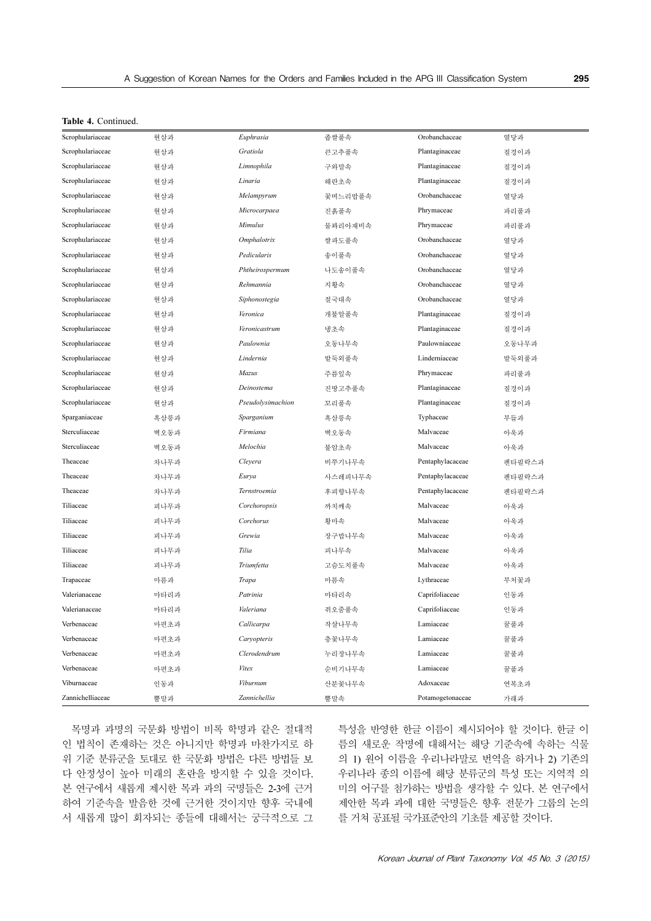| <b>Table 4. Continued.</b> |      |                   |         |                  |        |  |
|----------------------------|------|-------------------|---------|------------------|--------|--|
| Scrophulariaceae           | 현삼과  | Euphrasia         | 좁쌀풀속    | Orobanchaceae    | 열당과    |  |
| Scrophulariaceae           | 현삼과  | Gratiola          | 큰고추풀속   | Plantaginaceae   | 질경이과   |  |
| Scrophulariaceae           | 현삼과  | Limnophila        | 구와말속    | Plantaginaceae   | 질경이과   |  |
| Scrophulariaceae           | 현삼과  | Linaria           | 해란초속    | Plantaginaceae   | 질경이과   |  |
| Scrophulariaceae           | 현삼과  | Melampyrum        | 꽃며느리밥풀속 | Orobanchaceae    | 열당과    |  |
| Scrophulariaceae           | 현삼과  | Microcarpaea      | 진흙풀속    | Phrymaceae       | 파리풀과   |  |
| Scrophulariaceae           | 현삼과  | Mimulus           | 물꽈리아재비속 | Phrymaceae       | 파리품과   |  |
| Scrophulariaceae           | 현삼과  | Omphalotrix       | 쌀파도풀속   | Orobanchaceae    | 열당과    |  |
| Scrophulariaceae           | 현삼과  | Pedicularis       | 송이풀속    | Orobanchaceae    | 열당과    |  |
| Scrophulariaceae           | 현삼과  | Phtheirospermum   | 나도송이풀속  | Orobanchaceae    | 열당과    |  |
| Scrophulariaceae           | 현삼과  | Rehmannia         | 지황속     | Orobanchaceae    | 열당과    |  |
| Scrophulariaceae           | 현삼과  | Siphonostegia     | 절국대속    | Orobanchaceae    | 열당과    |  |
| Scrophulariaceae           | 현삼과  | Veronica          | 개불알풀속   | Plantaginaceae   | 질경이과   |  |
| Scrophulariaceae           | 현삼과  | Veronicastrum     | 냉초속     | Plantaginaceae   | 질경이과   |  |
| Scrophulariaceae           | 현삼과  | Paulownia         | 오동나무속   | Paulowniaceae    | 오동나무과  |  |
| Scrophulariaceae           | 현삼과  | Lindernia         | 밭둑외풀속   | Linderniaceae    | 밭둑외풀과  |  |
| Scrophulariaceae           | 현삼과  | Mazus             | 주름잎속    | Phrymaceae       | 파리품과   |  |
| Scrophulariaceae           | 현삼과  | Deinostema        | 진땅고추풀속  | Plantaginaceae   | 질경이과   |  |
| Scrophulariaceae           | 현삼과  | Pseudolysimachion | 꼬리풀속    | Plantaginaceae   | 질경이과   |  |
| Sparganiaceae              | 흑삼릉과 | Sparganium        | 흑삼릉속    | Typhaceae        | 부들과    |  |
| Sterculiaceae              | 벽오동과 | Firmiana          | 벽오동속    | Malvaceae        | 아욱과    |  |
| Sterculiaceae              | 벽오동과 | Melochia          | 불암초속    | Malvaceae        | 아욱과    |  |
| Theaceae                   | 차나무과 | Cleyera           | 비쭈기나무속  | Pentaphylacaceae | 펜타필락스과 |  |
| Theaceae                   | 차나무과 | Eurya             | 사스레피나무속 | Pentaphylacaceae | 펜타필락스과 |  |
| Theaceae                   | 차나무과 | Ternstroemia      | 후피향나무속  | Pentaphylacaceae | 펜타필락스과 |  |
| Tiliaceae                  | 피나무과 | Corchoropsis      | 까치깨속    | Malvaceae        | 아욱과    |  |
| Tiliaceae                  | 피나무과 | Corchorus         | 황마속     | Malvaceae        | 아욱과    |  |
| Tiliaceae                  | 피나무과 | Grewia            | 장구밥나무속  | Malvaceae        | 아욱과    |  |
| Tiliaceae                  | 피나무과 | Tilia             | 피나무속    | Malvaceae        | 아욱과    |  |
| Tiliaceae                  | 피나무과 | Triumfetta        | 고슴도치풀속  | Malvaceae        | 아욱과    |  |
| Trapaceae                  | 마름과  | Trapa             | 마름속     | Lythraceae       | 부처꽃과   |  |
| Valerianaceae              | 마타리과 | Patrinia          | 마타리속    | Caprifoliaceae   | 인동과    |  |
| Valerianaceae              | 마타리과 | Valeriana         | 쥐오줌풀속   | Caprifoliaceae   | 인동과    |  |
| Verbenaceae                | 마편초과 | Callicarpa        | 작살나무속   | Lamiaceae        | 꿀풀과    |  |
| Verbenaceae                | 마편초과 | Caryopteris       | 층꽃나무속   | Lamiaceae        | 꿀풀과    |  |
| Verbenaceae                | 마편초과 | Clerodendrum      | 누리장나무속  | Lamiaceae        | 꿀풀과    |  |
| Verbenaceae                | 마편초과 | Vitex             | 순비기나무속  | Lamiaceae        | 꿀풀과    |  |
| Viburnaceae                | 인동과  | Viburnum          | 산분꽃나무속  | Adoxaceae        | 연복초과   |  |
| Zannichelliaceae           | 뿔말과  | Zannichellia      | 뿔말속     | Potamogetonaceae | 가래과    |  |

목명과 과명의 국문화 방법이 비록 학명과 같은 절대적 인 법칙이 존재하는 것은 아니지만 학명과 마찬가지로 하 위 기준 분류군을 토대로 한 국문화 방법은 다른 방법들 보 다 안정성이 높아 미래의 혼란을 방지할 수 있을 것이다. 본 연구에서 새롭게 제시한 목과 과의 국명들은 2-3에 근거 하여 기준속을 발음한 것에 근거한 것이지만 향후 국내에 서 새롭게 많이 회자되는 종들에 대해서는 궁극적으로 그

특성을 반영한 한글 이름이 제시되어야 할 것이다. 한글 이 름의 새로운 작명에 대해서는 해당 기준속에 속하는 식물 의 1) 원어 이름을 우리나라말로 번역을 하거나 2) 기존의 우리나라 종의 이름에 해당 분류군의 특성 또는 지역적 의 미의 어구를 첨가하는 방법을 생각할 수 있다. 본 연구에서 제안한 목과 과에 대한 국명들은 향후 전문가 그룹의 논의 를 거쳐 공표될 국가표준안의 기초를 제공할 것이다.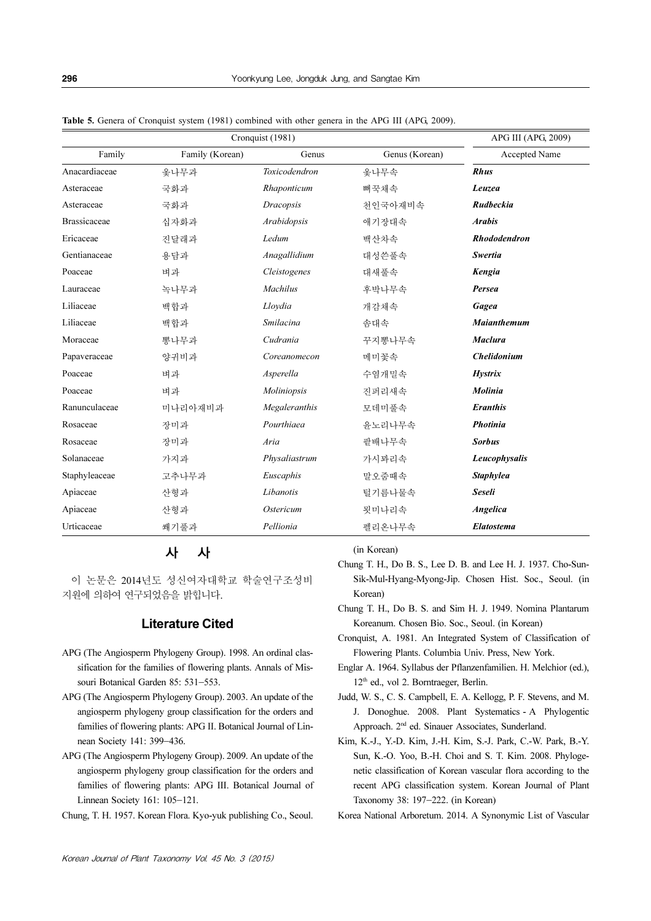|                     | APG III (APG, 2009) |                  |                |                     |
|---------------------|---------------------|------------------|----------------|---------------------|
| Family              | Family (Korean)     | Genus            | Genus (Korean) | Accepted Name       |
| Anacardiaceae       | 옻나무과                | Toxicodendron    | 옻나무속           | <b>Rhus</b>         |
| Asteraceae          | 국화과                 | Rhaponticum      | 뻐꾹채속           | Leuzea              |
| Asteraceae          | 국화과                 | Dracopsis        | 처인국아재비속        | <b>Rudbeckia</b>    |
| <b>Brassicaceae</b> | 십자화과                | Arabidopsis      | 애기장대속          | <b>Arabis</b>       |
| Ericaceae           | 진달래과                | Ledum            | 백산차속           | <b>Rhododendron</b> |
| Gentianaceae        | 용담과                 | Anagallidium     | 대성쓴풀속          | Swertia             |
| Poaceae             | 벼과                  | Cleistogenes     | 대새풀속           | Kengia              |
| Lauraceae           | 녹나무과                | <b>Machilus</b>  | 후박나무속          | Persea              |
| Liliaceae           | 백합과                 | Lloydia          | 개감채속           | Gagea               |
| Liliaceae           | 백합과                 | Smilacina        | 솜대속            | <b>Maianthemum</b>  |
| Moraceae            | 뽕나무과                | Cudrania         | 꾸지뽕나무속         | <b>Maclura</b>      |
| Papaveraceae        | 양귀비과                | Coreanomecon     | 메미꽃속           | Chelidonium         |
| Poaceae             | 벼과                  | Asperella        | 수염개밀속          | <b>Hystrix</b>      |
| Poaceae             | 벼과                  | Moliniopsis      | 진퍼리새속          | <b>Molinia</b>      |
| Ranunculaceae       | 미나리아재비과             | Megaleranthis    | 모데미풀속          | <b>Eranthis</b>     |
| Rosaceae            | 장미과                 | Pourthiaea       | 유노리나무속         | <b>Photinia</b>     |
| Rosaceae            | 장미과                 | Aria             | 팥배나무속          | <b>Sorbus</b>       |
| Solanaceae          | 가지과                 | Physaliastrum    | 가시꽈리속          | Leucophysalis       |
| Staphyleaceae       | 고추나무과               | Euscaphis        | 말오줌때속          | <b>Staphylea</b>    |
| Apiaceae            | 산형과                 | Libanotis        | 털기름나물속         | <b>Seseli</b>       |
| Apiaceae            | 산형과                 | <b>Ostericum</b> | 묏미나리속          | <b>Angelica</b>     |
| Urticaceae          | 쐐기풀과                | Pellionia        | 펠리온나무속         | <b>Elatostema</b>   |

Table 5. Genera of Cronquist system (1981) combined with other genera in the APG III (APG, 2009).

### 사 사

이 논문은 2014년도 성신여자대학교 학술연구조성비 지원에 의하여 연구되었음을 밝힙니다.

## Literature Cited

- APG (The Angiosperm Phylogeny Group). 1998. An ordinal classification for the families of flowering plants. Annals of Mis-**Literature Cite**<br>Garden Botanical Garden 85: 531–553.<br>Souri Botanical Garden 85: 531–553.
- APG (The Angiosperm Phylogeny Group). 2003. An update of the angiosperm phylogeny group classification for the orders and families of flowering plants: APG II. Botanical Journal of Linsouri Botanical Garden 85:<br>5 (The Angiosperm Phyloger<br>angiosperm phylogeny grou<sub>i</sub><br>families of flowering plants:<br>nean Society 141: 399–436.
- APG (The Angiosperm Phylogeny Group). 2009. An update of the angiosperm phylogeny group classification for the orders and families of flowering plants: APG III. Botanical Journal of nean Society 141: 399–436.<br>
G (The Angiosperm Phylogeny C<br>
angiosperm phylogeny group cl:<br>
families of flowering plants: A<br>
Linnean Society 161: 105−121.
- Chung, T. H. 1957. Korean Flora. Kyo-yuk publishing Co., Seoul.

(in Korean)

- Chung T. H., Do B. S., Lee D. B. and Lee H. J. 1937. Cho-Sun-Sik-Mul-Hyang-Myong-Jip. Chosen Hist. Soc., Seoul. (in Korean)
- Chung T. H., Do B. S. and Sim H. J. 1949. Nomina Plantarum Koreanum. Chosen Bio. Soc., Seoul. (in Korean)
- Cronquist, A. 1981. An Integrated System of Classification of Flowering Plants. Columbia Univ. Press, New York.
- Englar A. 1964. Syllabus der Pflanzenfamilien. H. Melchior (ed.),  $12<sup>th</sup>$  ed., vol 2. Borntraeger, Berlin.
- Judd, W. S., C. S. Campbell, E. A. Kellogg, P. F. Stevens, and M. J. Donoghue. 2008. Plant Systematics - A Phylogentic Approach. 2nd ed. Sinauer Associates, Sunderland.
- Kim, K.-J., Y.-D. Kim, J.-H. Kim, S.-J. Park, C.-W. Park, B.-Y. Sun, K.-O. Yoo, B.-H. Choi and S. T. Kim. 2008. Phylogenetic classification of Korean vascular flora according to the recent APG classification system. Korean Journal of Plant 1, K.-J., Y.-D. Kım, J.-H. Kım, S.-J.<br>Sun, K.-O. Yoo, B.-H. Choi and S.<br>netic classification of Korean vascula<br>recent APG classification system. F<br>Taxonomy 38: 197−222. (in Korean)
- Korea National Arboretum. 2014. A Synonymic List of Vascular